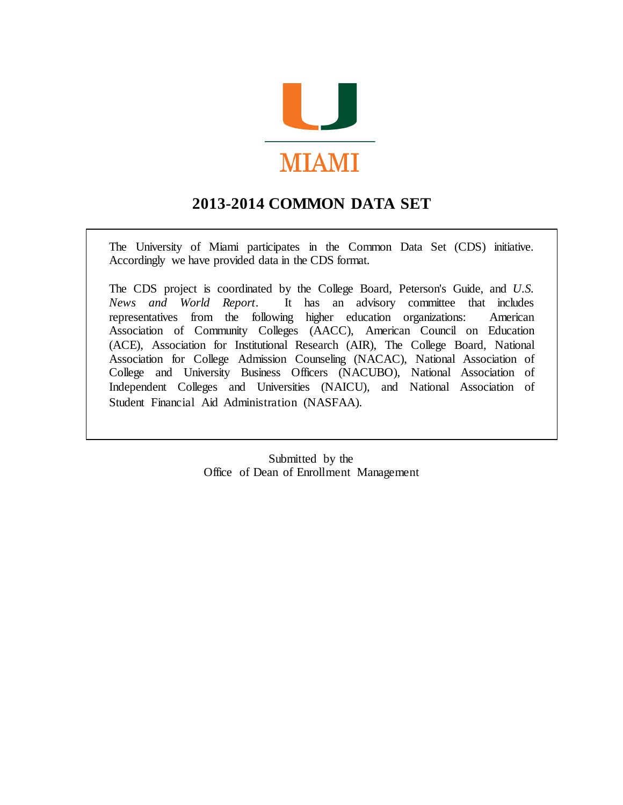

# **2013-2014 COMMON DATA SET**

The University of Miami participates in the Common Data Set (CDS) initiative. Accordingly we have provided data in the CDS format.

The CDS project is coordinated by the College Board, Peterson's Guide, and *U.S. News and World Report*. It has an advisory committee that includes representatives from the following higher education organizations: American Association of Community Colleges (AACC), American Council on Education (ACE), Association for Institutional Research (AIR), The College Board, National Association for College Admission Counseling (NACAC), National Association of College and University Business Officers (NACUBO), National Association of Independent Colleges and Universities (NAICU), and National Association of Student Financial Aid Administration (NASFAA).

> Submitted by the Office of Dean of Enrollment Management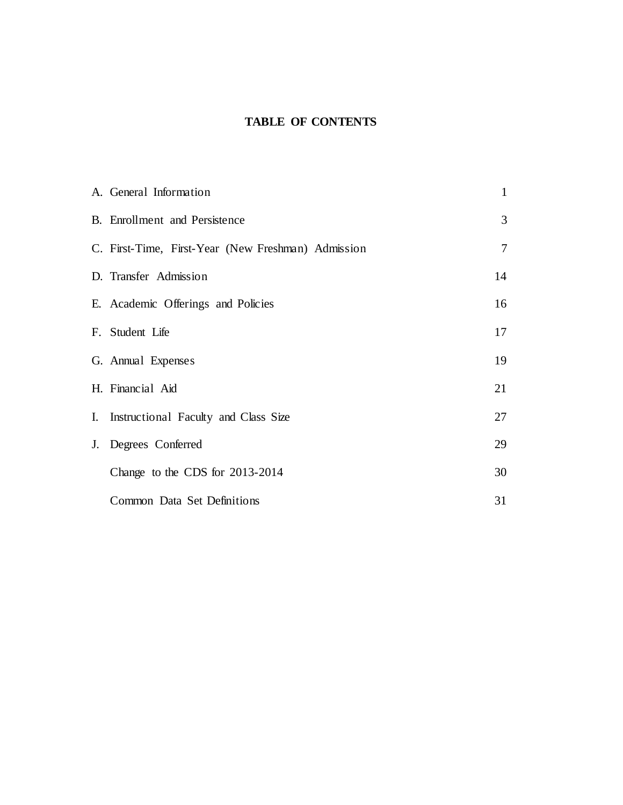## **TABLE OF CONTENTS**

| A. General Information                             | $\mathbf{1}$   |
|----------------------------------------------------|----------------|
| B. Enrollment and Persistence                      | 3              |
| C. First-Time, First-Year (New Freshman) Admission | $\overline{7}$ |
| D. Transfer Admission                              | 14             |
| E. Academic Offerings and Policies                 | 16             |
| F. Student Life                                    | 17             |
| G. Annual Expenses                                 | 19             |
| H. Financial Aid                                   | 21             |
| I. Instructional Faculty and Class Size            | 27             |
| J. Degrees Conferred                               | 29             |
| Change to the CDS for 2013-2014                    | 30             |
| Common Data Set Definitions                        | 31             |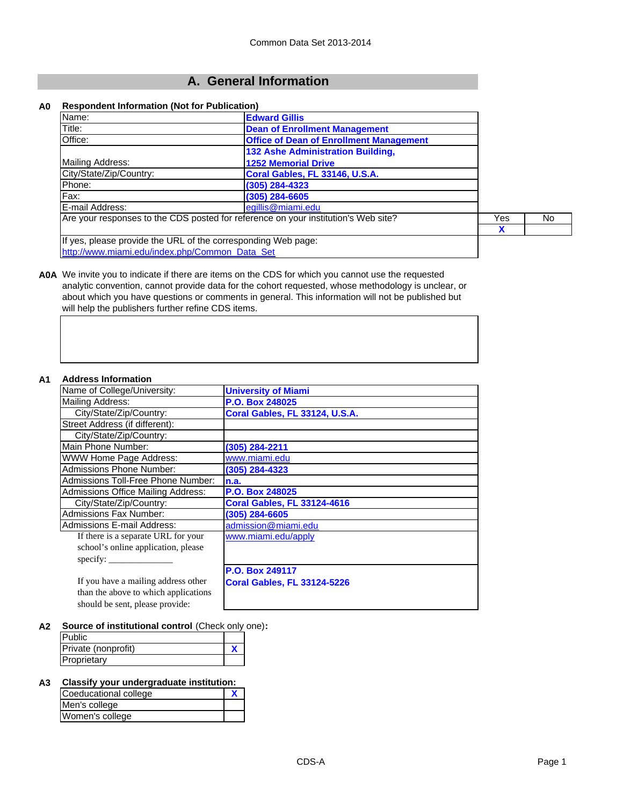## **A. General Information**

#### **A0 Respondent Information (Not for Publication)**

| Name:                                                         | <b>Edward Gillis</b>                                                               |   |  |
|---------------------------------------------------------------|------------------------------------------------------------------------------------|---|--|
| Title:                                                        | <b>Dean of Enrollment Management</b>                                               |   |  |
| Office:                                                       | <b>Office of Dean of Enrollment Management</b>                                     |   |  |
|                                                               | 132 Ashe Administration Building,                                                  |   |  |
| Mailing Address:                                              | <b>1252 Memorial Drive</b>                                                         |   |  |
| City/State/Zip/Country:                                       | Coral Gables, FL 33146, U.S.A.                                                     |   |  |
| Phone:                                                        | (305) 284-4323                                                                     |   |  |
| Fax:                                                          | (305) 284-6605                                                                     |   |  |
| E-mail Address:                                               | egillis@miami.edu                                                                  |   |  |
|                                                               | Are your responses to the CDS posted for reference on your institution's Web site? |   |  |
|                                                               |                                                                                    | X |  |
| If yes, please provide the URL of the corresponding Web page: |                                                                                    |   |  |
| http://www.miami.edu/index.php/Common_Data_Set                |                                                                                    |   |  |

**A0A** We invite you to indicate if there are items on the CDS for which you cannot use the requested analytic convention, cannot provide data for the cohort requested, whose methodology is unclear, or about which you have questions or comments in general. This information will not be published but will help the publishers further refine CDS items.

#### **A1 Address Information**

| Name of College/University:               | <b>University of Miami</b>         |
|-------------------------------------------|------------------------------------|
| <b>Mailing Address:</b>                   | P.O. Box 248025                    |
| City/State/Zip/Country:                   | Coral Gables, FL 33124, U.S.A.     |
| Street Address (if different):            |                                    |
| City/State/Zip/Country:                   |                                    |
| Main Phone Number:                        | (305) 284-2211                     |
| WWW Home Page Address:                    | www.miami.edu                      |
| <b>Admissions Phone Number:</b>           | (305) 284-4323                     |
| Admissions Toll-Free Phone Number:        | n.a.                               |
| <b>Admissions Office Mailing Address:</b> | P.O. Box 248025                    |
| City/State/Zip/Country:                   | <b>Coral Gables, FL 33124-4616</b> |
| <b>Admissions Fax Number:</b>             | (305) 284-6605                     |
| <b>Admissions E-mail Address:</b>         | admission@miami.edu                |
| If there is a separate URL for your       | www.miami.edu/apply                |
| school's online application, please       |                                    |
| specify:                                  |                                    |
|                                           | <b>P.O. Box 249117</b>             |
| If you have a mailing address other       | <b>Coral Gables, FL 33124-5226</b> |
| than the above to which applications      |                                    |
| should be sent, please provide:           |                                    |

**A2 Source of institutional control** (Check only one)**:**

| <b>Public</b>       |  |
|---------------------|--|
| Private (nonprofit) |  |
| Proprietary         |  |

#### **A3 Classify your undergraduate institution:**

| Coeducational college |  |
|-----------------------|--|
| Men's college         |  |
| Women's college       |  |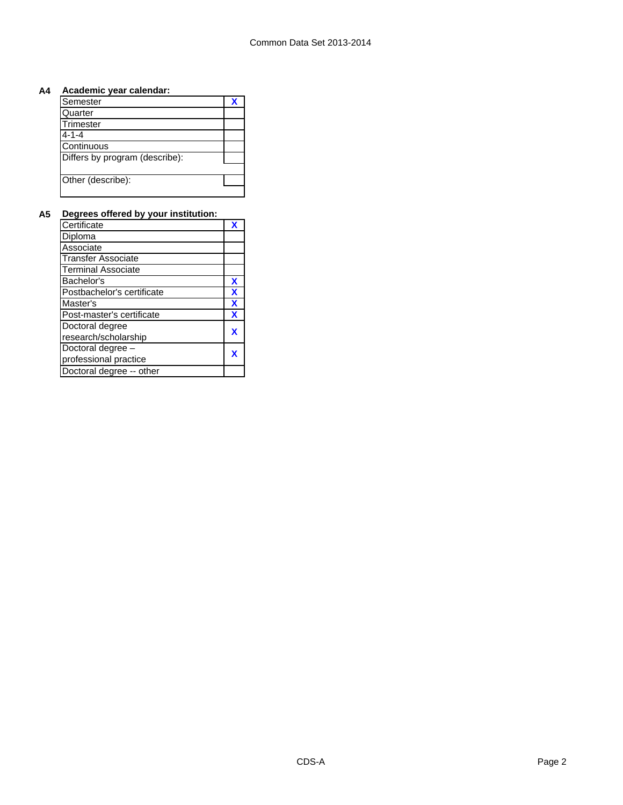### **A4 Academic year calendar:**

| Semester                       |  |
|--------------------------------|--|
| Quarter                        |  |
| Trimester                      |  |
| $4 - 1 - 4$                    |  |
| Continuous                     |  |
| Differs by program (describe): |  |
|                                |  |
| Other (describe):              |  |
|                                |  |

## **A5 Degrees offered by your institution:**

| Certificate                |   |
|----------------------------|---|
| Diploma                    |   |
| Associate                  |   |
| <b>Transfer Associate</b>  |   |
| <b>Terminal Associate</b>  |   |
| Bachelor's                 | X |
| Postbachelor's certificate | X |
| Master's                   | X |
| Post-master's certificate  | X |
| Doctoral degree            | x |
| research/scholarship       |   |
| Doctoral degree -          |   |
| professional practice      |   |
| Doctoral degree -- other   |   |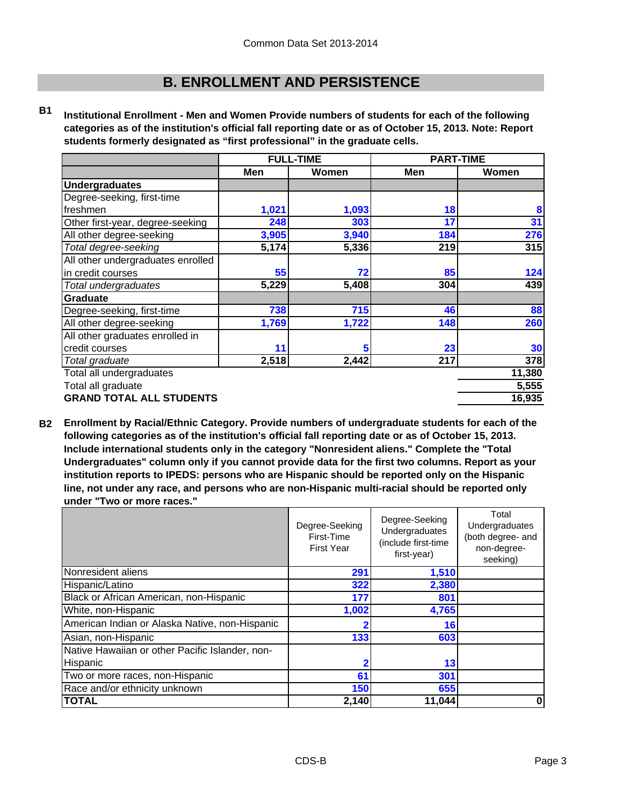## **B. ENROLLMENT AND PERSISTENCE**

**B1 Institutional Enrollment - Men and Women Provide numbers of students for each of the following categories as of the institution's official fall reporting date or as of October 15, 2013. Note: Report students formerly designated as "first professional" in the graduate cells.**

|                                   | <b>FULL-TIME</b> |       | <b>PART-TIME</b> |        |
|-----------------------------------|------------------|-------|------------------|--------|
|                                   | Men              | Women | Men              | Women  |
| <b>Undergraduates</b>             |                  |       |                  |        |
| Degree-seeking, first-time        |                  |       |                  |        |
| freshmen                          | 1,021            | 1,093 | 18               | 8      |
| Other first-year, degree-seeking  | 248              | 303   | 17               | 31     |
| All other degree-seeking          | 3,905            | 3,940 | 184              | 276    |
| Total degree-seeking              | 5,174            | 5,336 | 219              | 315    |
| All other undergraduates enrolled |                  |       |                  |        |
| in credit courses                 | 55               | 72    | 85               | 124    |
| Total undergraduates              | 5,229            | 5,408 | 304              | 439    |
| Graduate                          |                  |       |                  |        |
| Degree-seeking, first-time        | 738              | 715   | 46               | 88     |
| All other degree-seeking          | 1,769            | 1,722 | 148              | 260    |
| All other graduates enrolled in   |                  |       |                  |        |
| credit courses                    | 11               | 5     | 23               | 30     |
| Total graduate                    | 2,518            | 2,442 | 217              | 378    |
| Total all undergraduates          |                  |       |                  | 11,380 |
| Total all graduate                |                  |       |                  | 5,555  |
| <b>GRAND TOTAL ALL STUDENTS</b>   |                  |       |                  | 16,935 |

**B2 Enrollment by Racial/Ethnic Category. Provide numbers of undergraduate students for each of the following categories as of the institution's official fall reporting date or as of October 15, 2013. Include international students only in the category "Nonresident aliens." Complete the "Total Undergraduates" column only if you cannot provide data for the first two columns. Report as your institution reports to IPEDS: persons who are Hispanic should be reported only on the Hispanic line, not under any race, and persons who are non-Hispanic multi-racial should be reported only under "Two or more races."** 

|                                                 | Degree-Seeking<br>First-Time<br><b>First Year</b> | Degree-Seeking<br>Undergraduates<br>(include first-time<br>first-year) | Total<br>Undergraduates<br>(both degree- and<br>non-degree-<br>seeking) |
|-------------------------------------------------|---------------------------------------------------|------------------------------------------------------------------------|-------------------------------------------------------------------------|
| Nonresident aliens                              | 291                                               | 1,510                                                                  |                                                                         |
| Hispanic/Latino                                 | 322                                               | 2,380                                                                  |                                                                         |
| Black or African American, non-Hispanic         | 177                                               | 801                                                                    |                                                                         |
| White, non-Hispanic                             | 1,002                                             | 4,765                                                                  |                                                                         |
| American Indian or Alaska Native, non-Hispanic  |                                                   | 16                                                                     |                                                                         |
| Asian, non-Hispanic                             | 133                                               | 603                                                                    |                                                                         |
| Native Hawaiian or other Pacific Islander, non- |                                                   |                                                                        |                                                                         |
| Hispanic                                        |                                                   | 13                                                                     |                                                                         |
| Two or more races, non-Hispanic                 | 61                                                | 301                                                                    |                                                                         |
| Race and/or ethnicity unknown                   | 150                                               | 655                                                                    |                                                                         |
| <b>TOTAL</b>                                    | 2,140                                             | 11,044                                                                 | 0                                                                       |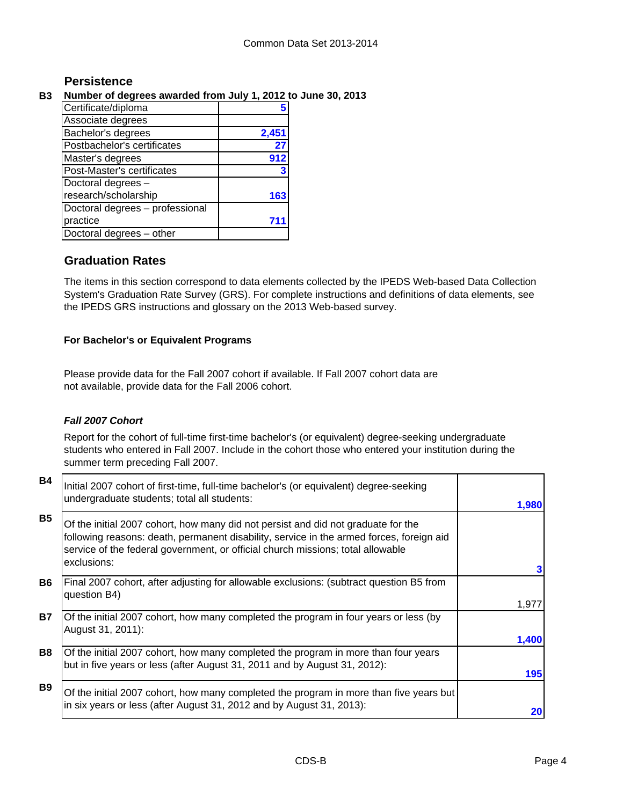## **Persistence**

## **B3 Number of degrees awarded from July 1, 2012 to June 30, 2013**

| Certificate/diploma             |       |
|---------------------------------|-------|
| Associate degrees               |       |
| Bachelor's degrees              | 2,451 |
| Postbachelor's certificates     | 27    |
| Master's degrees                | 912   |
| Post-Master's certificates      |       |
| Doctoral degrees -              |       |
| research/scholarship            | 163   |
| Doctoral degrees - professional |       |
| practice                        |       |
| Doctoral degrees - other        |       |

## **Graduation Rates**

The items in this section correspond to data elements collected by the IPEDS Web-based Data Collection System's Graduation Rate Survey (GRS). For complete instructions and definitions of data elements, see the IPEDS GRS instructions and glossary on the 2013 Web-based survey.

### **For Bachelor's or Equivalent Programs**

Please provide data for the Fall 2007 cohort if available. If Fall 2007 cohort data are not available, provide data for the Fall 2006 cohort.

## *Fall 2007 Cohort*

Report for the cohort of full-time first-time bachelor's (or equivalent) degree-seeking undergraduate students who entered in Fall 2007. Include in the cohort those who entered your institution during the summer term preceding Fall 2007.

| <b>B4</b> | Initial 2007 cohort of first-time, full-time bachelor's (or equivalent) degree-seeking<br>undergraduate students; total all students:                                                                                                                                           | 1,980 |
|-----------|---------------------------------------------------------------------------------------------------------------------------------------------------------------------------------------------------------------------------------------------------------------------------------|-------|
| <b>B5</b> | Of the initial 2007 cohort, how many did not persist and did not graduate for the<br>following reasons: death, permanent disability, service in the armed forces, foreign aid<br>service of the federal government, or official church missions; total allowable<br>exclusions: |       |
|           |                                                                                                                                                                                                                                                                                 |       |
| <b>B6</b> | Final 2007 cohort, after adjusting for allowable exclusions: (subtract question B5 from                                                                                                                                                                                         |       |
|           | question B4)                                                                                                                                                                                                                                                                    | 1,977 |
| <b>B7</b> | Of the initial 2007 cohort, how many completed the program in four years or less (by<br>August 31, 2011):                                                                                                                                                                       |       |
|           |                                                                                                                                                                                                                                                                                 | 1,400 |
| <b>B8</b> | Of the initial 2007 cohort, how many completed the program in more than four years                                                                                                                                                                                              |       |
|           | but in five years or less (after August 31, 2011 and by August 31, 2012):                                                                                                                                                                                                       | 195   |
| <b>B9</b> | Of the initial 2007 cohort, how many completed the program in more than five years but                                                                                                                                                                                          |       |
|           | in six years or less (after August 31, 2012 and by August 31, 2013):                                                                                                                                                                                                            | 20    |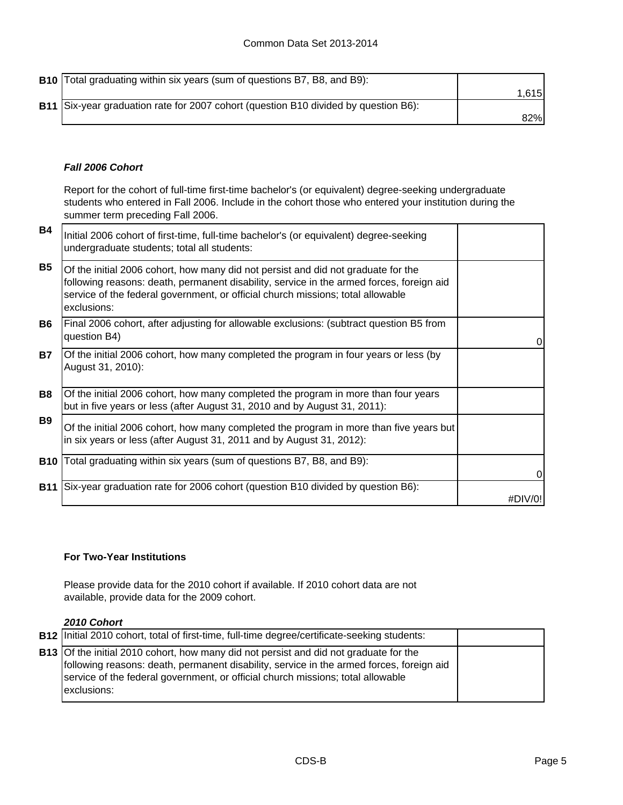**B10** Total graduating within six years (sum of questions B7, B8, and B9): 1,615 **B11** 82% Six-year graduation rate for 2007 cohort (question B10 divided by question B6):

### *Fall 2006 Cohort*

Report for the cohort of full-time first-time bachelor's (or equivalent) degree-seeking undergraduate students who entered in Fall 2006. Include in the cohort those who entered your institution during the summer term preceding Fall 2006.

| <b>B4</b>  | Initial 2006 cohort of first-time, full-time bachelor's (or equivalent) degree-seeking<br>undergraduate students; total all students:                                                                                                                                           |          |
|------------|---------------------------------------------------------------------------------------------------------------------------------------------------------------------------------------------------------------------------------------------------------------------------------|----------|
| <b>B5</b>  | Of the initial 2006 cohort, how many did not persist and did not graduate for the<br>following reasons: death, permanent disability, service in the armed forces, foreign aid<br>service of the federal government, or official church missions; total allowable<br>exclusions: |          |
| <b>B6</b>  | Final 2006 cohort, after adjusting for allowable exclusions: (subtract question B5 from<br>question B4)                                                                                                                                                                         | 0        |
| <b>B7</b>  | Of the initial 2006 cohort, how many completed the program in four years or less (by<br>August 31, 2010):                                                                                                                                                                       |          |
| <b>B8</b>  | Of the initial 2006 cohort, how many completed the program in more than four years<br>but in five years or less (after August 31, 2010 and by August 31, 2011):                                                                                                                 |          |
| <b>B9</b>  | Of the initial 2006 cohort, how many completed the program in more than five years but<br>in six years or less (after August 31, 2011 and by August 31, 2012):                                                                                                                  |          |
| <b>B10</b> | Total graduating within six years (sum of questions B7, B8, and B9):                                                                                                                                                                                                            | $\Omega$ |
| <b>B11</b> | Six-year graduation rate for 2006 cohort (question B10 divided by question B6):                                                                                                                                                                                                 | #DIV/O!  |

#### **For Two-Year Institutions**

Please provide data for the 2010 cohort if available. If 2010 cohort data are not available, provide data for the 2009 cohort.

#### *2010 Cohort*

| <b>B12</b> Initial 2010 cohort, total of first-time, full-time degree/certificate-seeking students:                                                                                                                                                                                        |  |
|--------------------------------------------------------------------------------------------------------------------------------------------------------------------------------------------------------------------------------------------------------------------------------------------|--|
| <b>B13</b> Of the initial 2010 cohort, how many did not persist and did not graduate for the<br>following reasons: death, permanent disability, service in the armed forces, foreign aid<br>service of the federal government, or official church missions; total allowable<br>exclusions: |  |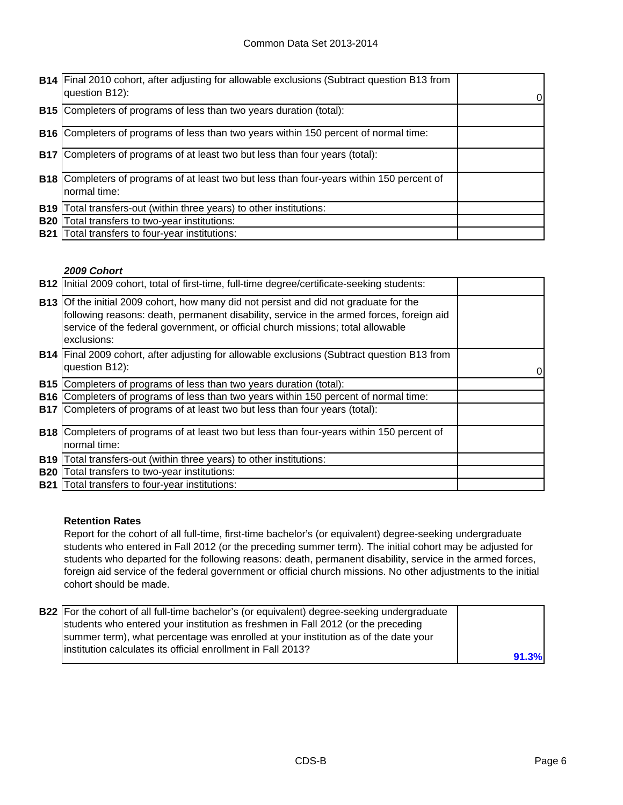|            | <b>B14</b> Final 2010 cohort, after adjusting for allowable exclusions (Subtract question B13 from<br>question B12): | 0 |
|------------|----------------------------------------------------------------------------------------------------------------------|---|
| <b>B15</b> | Completers of programs of less than two years duration (total):                                                      |   |
| <b>B16</b> | Completers of programs of less than two years within 150 percent of normal time:                                     |   |
| <b>B17</b> | Completers of programs of at least two but less than four years (total):                                             |   |
| <b>B18</b> | Completers of programs of at least two but less than four-years within 150 percent of<br>normal time:                |   |
| <b>B19</b> | Total transfers-out (within three years) to other institutions:                                                      |   |
| <b>B20</b> | Total transfers to two-year institutions:                                                                            |   |
| <b>B21</b> | Total transfers to four-year institutions:                                                                           |   |

#### *2009 Cohort*

|            | B12   Initial 2009 cohort, total of first-time, full-time degree/certificate-seeking students:                                                                                                                                                                                      |  |
|------------|-------------------------------------------------------------------------------------------------------------------------------------------------------------------------------------------------------------------------------------------------------------------------------------|--|
|            | B13 Of the initial 2009 cohort, how many did not persist and did not graduate for the<br>following reasons: death, permanent disability, service in the armed forces, foreign aid<br>service of the federal government, or official church missions; total allowable<br>exclusions: |  |
|            | <b>B14</b> Final 2009 cohort, after adjusting for allowable exclusions (Subtract question B13 from<br>question B12):                                                                                                                                                                |  |
|            | <b>B15</b> Completers of programs of less than two years duration (total):                                                                                                                                                                                                          |  |
| <b>B16</b> | Completers of programs of less than two years within 150 percent of normal time:                                                                                                                                                                                                    |  |
|            | <b>B17</b> Completers of programs of at least two but less than four years (total):                                                                                                                                                                                                 |  |
|            | <b>B18</b> Completers of programs of at least two but less than four-years within 150 percent of                                                                                                                                                                                    |  |
|            | normal time:                                                                                                                                                                                                                                                                        |  |
| <b>B19</b> | Total transfers-out (within three years) to other institutions:                                                                                                                                                                                                                     |  |
| <b>B20</b> | Total transfers to two-year institutions:                                                                                                                                                                                                                                           |  |
| <b>B21</b> | Total transfers to four-year institutions:                                                                                                                                                                                                                                          |  |

#### **Retention Rates**

Report for the cohort of all full-time, first-time bachelor's (or equivalent) degree-seeking undergraduate students who entered in Fall 2012 (or the preceding summer term). The initial cohort may be adjusted for students who departed for the following reasons: death, permanent disability, service in the armed forces, foreign aid service of the federal government or official church missions. No other adjustments to the initial cohort should be made.

| B22 For the cohort of all full-time bachelor's (or equivalent) degree-seeking undergraduate |       |
|---------------------------------------------------------------------------------------------|-------|
| students who entered your institution as freshmen in Fall 2012 (or the preceding            |       |
| summer term), what percentage was enrolled at your institution as of the date your          |       |
| linstitution calculates its official enrollment in Fall 2013?                               |       |
|                                                                                             | 91.3% |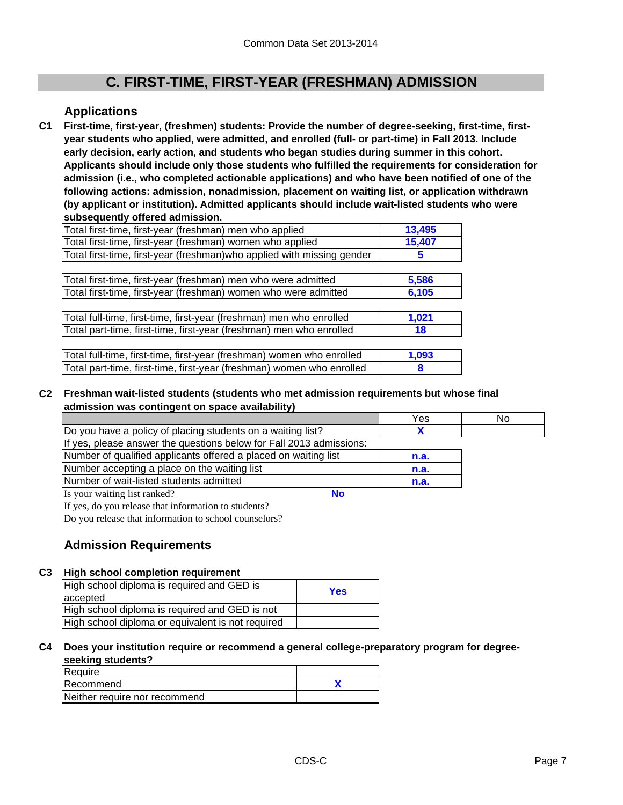## **C. FIRST-TIME, FIRST-YEAR (FRESHMAN) ADMISSION**

## **Applications**

**C1 First-time, first-year, (freshmen) students: Provide the number of degree-seeking, first-time, firstyear students who applied, were admitted, and enrolled (full- or part-time) in Fall 2013. Include early decision, early action, and students who began studies during summer in this cohort. Applicants should include only those students who fulfilled the requirements for consideration for admission (i.e., who completed actionable applications) and who have been notified of one of the following actions: admission, nonadmission, placement on waiting list, or application withdrawn (by applicant or institution). Admitted applicants should include wait-listed students who were subsequently offered admission.**

| Total first-time, first-year (freshman) men who applied                 | 13,495 |
|-------------------------------------------------------------------------|--------|
| Total first-time, first-year (freshman) women who applied               | 15,407 |
| Total first-time, first-year (freshman) who applied with missing gender | 5      |
|                                                                         |        |
| Total first-time, first-year (freshman) men who were admitted           | 5,586  |
| Total first-time, first-year (freshman) women who were admitted         | 6,105  |
|                                                                         |        |
| Total full-time, first-time, first-year (freshman) men who enrolled     | 1,021  |
| Total part-time, first-time, first-year (freshman) men who enrolled     | 18     |
|                                                                         |        |
| Total full-time, first-time, first-year (freshman) women who enrolled   | 1,093  |

**8** Total part-time, first-time, first-year (freshman) women who enrolled

#### **C2 Freshman wait-listed students (students who met admission requirements but whose final admission was contingent on space availability)**

|                                                                     | Yes  | No |
|---------------------------------------------------------------------|------|----|
| Do you have a policy of placing students on a waiting list?         |      |    |
| If yes, please answer the questions below for Fall 2013 admissions: |      |    |
| Number of qualified applicants offered a placed on waiting list     | n.a. |    |
| Number accepting a place on the waiting list                        | n.a. |    |
| Number of wait-listed students admitted                             | n.a. |    |
| Is your waiting list ranked?                                        |      |    |

If yes, do you release that information to students?

Do you release that information to school counselors?

## **Admission Requirements**

#### **C3 High school completion requirement**

| High school diploma is required and GED is        | Yes |
|---------------------------------------------------|-----|
| accepted                                          |     |
| High school diploma is required and GED is not    |     |
| High school diploma or equivalent is not required |     |

#### **C4 Does your institution require or recommend a general college-preparatory program for degreeseeking students?**

| Require                       |  |
|-------------------------------|--|
| Recommend                     |  |
| Neither require nor recommend |  |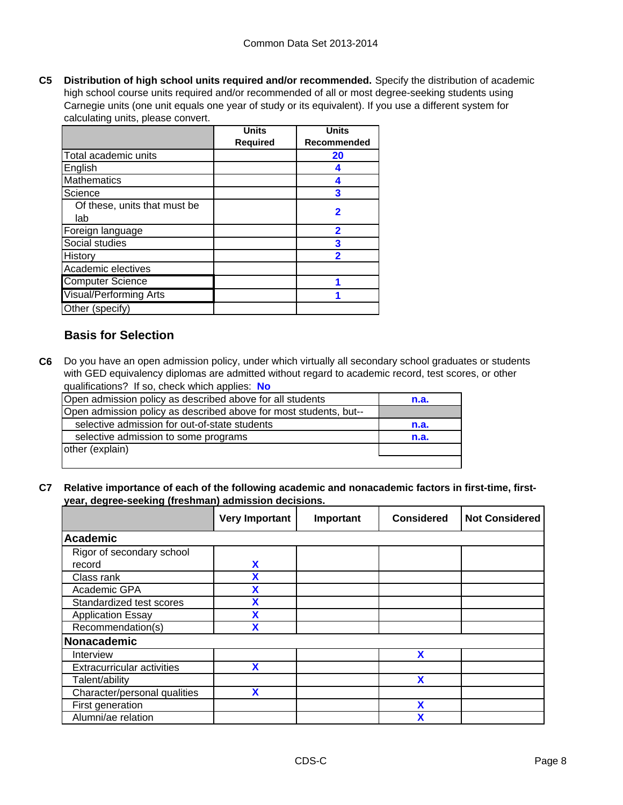**C5 Distribution of high school units required and/or recommended.** Specify the distribution of academic high school course units required and/or recommended of all or most degree-seeking students using Carnegie units (one unit equals one year of study or its equivalent). If you use a different system for calculating units, please convert.

|                               | <b>Units</b>    | <b>Units</b> |
|-------------------------------|-----------------|--------------|
|                               | <b>Required</b> | Recommended  |
| Total academic units          |                 | 20           |
| English                       |                 |              |
| <b>Mathematics</b>            |                 |              |
| Science                       |                 | 3            |
| Of these, units that must be  |                 | 2            |
| lab                           |                 |              |
| Foreign language              |                 | 2            |
| Social studies                |                 | 3            |
| History                       |                 |              |
| Academic electives            |                 |              |
| <b>Computer Science</b>       |                 |              |
| <b>Visual/Performing Arts</b> |                 |              |
| Other (specify)               |                 |              |

## **Basis for Selection**

**C6** Do you have an open admission policy, under which virtually all secondary school graduates or students with GED equivalency diplomas are admitted without regard to academic record, test scores, or other qualifications? If so, check which applies: **No**

| Open admission policy as described above for all students         | n.a. |
|-------------------------------------------------------------------|------|
| Open admission policy as described above for most students, but-- |      |
| selective admission for out-of-state students                     | n.a. |
| selective admission to some programs                              | n.a. |
| other (explain)                                                   |      |
|                                                                   |      |

**C7 Relative importance of each of the following academic and nonacademic factors in first-time, firstyear, degree-seeking (freshman) admission decisions.**

|                                   | <b>Very Important</b> | Important | <b>Considered</b> | <b>Not Considered</b> |
|-----------------------------------|-----------------------|-----------|-------------------|-----------------------|
| <b>Academic</b>                   |                       |           |                   |                       |
| Rigor of secondary school         |                       |           |                   |                       |
| record                            | X                     |           |                   |                       |
| Class rank                        | χ                     |           |                   |                       |
| Academic GPA                      |                       |           |                   |                       |
| Standardized test scores          |                       |           |                   |                       |
| <b>Application Essay</b>          | x                     |           |                   |                       |
| Recommendation(s)                 | χ                     |           |                   |                       |
| Nonacademic                       |                       |           |                   |                       |
| Interview                         |                       |           | X                 |                       |
| <b>Extracurricular activities</b> | X                     |           |                   |                       |
| Talent/ability                    |                       |           | X                 |                       |
| Character/personal qualities      | X                     |           |                   |                       |
| First generation                  |                       |           | χ                 |                       |
| Alumni/ae relation                |                       |           |                   |                       |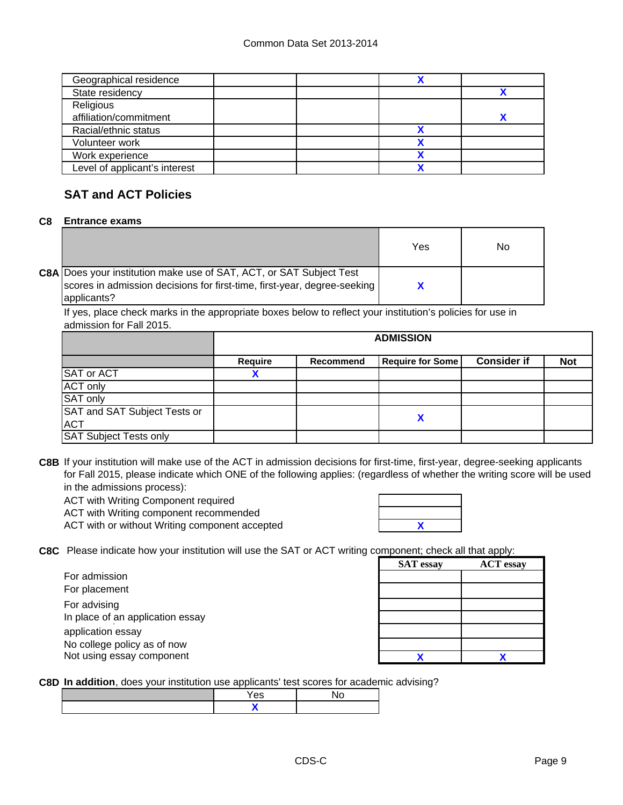| Geographical residence        |  |  |
|-------------------------------|--|--|
| State residency               |  |  |
| Religious                     |  |  |
| affiliation/commitment        |  |  |
| Racial/ethnic status          |  |  |
| Volunteer work                |  |  |
| Work experience               |  |  |
| Level of applicant's interest |  |  |

## **SAT and ACT Policies**

#### **C8 Entrance exams**

|                                                                                                                                                                       | Yes | No |
|-----------------------------------------------------------------------------------------------------------------------------------------------------------------------|-----|----|
| <b>C8A Does your institution make use of SAT, ACT, or SAT Subject Test</b><br>scores in admission decisions for first-time, first-year, degree-seeking<br>applicants? |     |    |

If yes, place check marks in the appropriate boxes below to reflect your institution's policies for use in admission for Fall 2015.

|                               | <b>ADMISSION</b> |                  |                         |                    |            |
|-------------------------------|------------------|------------------|-------------------------|--------------------|------------|
|                               | Require          | <b>Recommend</b> | <b>Require for Some</b> | <b>Consider if</b> | <b>Not</b> |
| <b>SAT or ACT</b>             |                  |                  |                         |                    |            |
| <b>ACT only</b>               |                  |                  |                         |                    |            |
| SAT only                      |                  |                  |                         |                    |            |
| SAT and SAT Subject Tests or  |                  |                  |                         |                    |            |
| <b>ACT</b>                    |                  |                  | X                       |                    |            |
| <b>SAT Subject Tests only</b> |                  |                  |                         |                    |            |

**C8B** If your institution will make use of the ACT in admission decisions for first-time, first-year, degree-seeking applicants for Fall 2015, please indicate which ONE of the following applies: (regardless of whether the writing score will be used in the admissions process):

ACT with Writing Component required

ACT with Writing component recommended

ACT with or without Writing component accepted

| X |  |
|---|--|
|   |  |
|   |  |

**C8C** Please indicate how your institution will use the SAT or ACT writing component; check all that apply:

| For admission                    |  |
|----------------------------------|--|
| For placement                    |  |
| For advising                     |  |
| In place of an application essay |  |
| application essay                |  |
| No college policy as of now      |  |
| Not using essay component        |  |

| omponent, check all that apply. |                  |  |  |
|---------------------------------|------------------|--|--|
| <b>SAT</b> essay                | <b>ACT</b> essay |  |  |
|                                 |                  |  |  |
|                                 |                  |  |  |
|                                 |                  |  |  |
|                                 |                  |  |  |
|                                 |                  |  |  |
|                                 |                  |  |  |
|                                 |                  |  |  |

**C8D In addition**, does your institution use applicants' test scores for academic advising?

| es: |  |
|-----|--|
|     |  |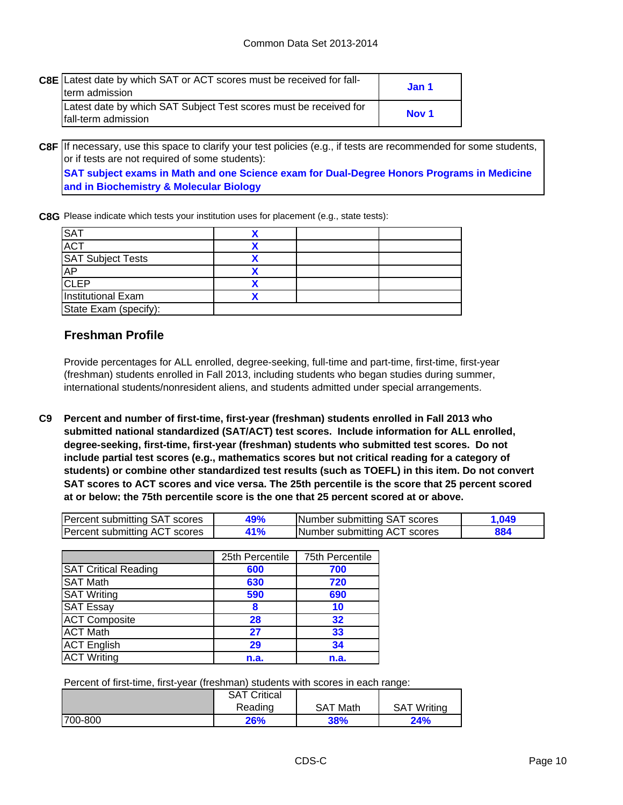| <b>C8E</b> Latest date by which SAT or ACT scores must be received for fall-<br>term admission | Jan 1            |
|------------------------------------------------------------------------------------------------|------------------|
| Latest date by which SAT Subject Test scores must be received for<br>Ifall-term admission      | Nov <sub>1</sub> |

**C8F** If necessary, use this space to clarify your test policies (e.g., if tests are recommended for some students, **SAT subject exams in Math and one Science exam for Dual-Degree Honors Programs in Medicine and in Biochemistry & Molecular Biology** or if tests are not required of some students):

**C8G** Please indicate which tests your institution uses for placement (e.g., state tests):

| <b>SAT</b>                |  |  |
|---------------------------|--|--|
| <b>ACT</b>                |  |  |
| <b>SAT Subject Tests</b>  |  |  |
| <b>AP</b>                 |  |  |
| <b>CLEP</b>               |  |  |
| <b>Institutional Exam</b> |  |  |
| State Exam (specify):     |  |  |

## **Freshman Profile**

Provide percentages for ALL enrolled, degree-seeking, full-time and part-time, first-time, first-year (freshman) students enrolled in Fall 2013, including students who began studies during summer, international students/nonresident aliens, and students admitted under special arrangements.

**C9 Percent and number of first-time, first-year (freshman) students enrolled in Fall 2013 who submitted national standardized (SAT/ACT) test scores. Include information for ALL enrolled, degree-seeking, first-time, first-year (freshman) students who submitted test scores. Do not include partial test scores (e.g., mathematics scores but not critical reading for a category of students) or combine other standardized test results (such as TOEFL) in this item. Do not convert SAT scores to ACT scores and vice versa. The 25th percentile is the score that 25 percent scored at or below; the 75th percentile score is the one that 25 percent scored at or above.**

| Percent submitting SAT scores |    | Number submitting SAT scores  |  |
|-------------------------------|----|-------------------------------|--|
| Percent submitting ACT scores | 1% | INumber submitting ACT scores |  |

|                             | 25th Percentile | 75th Percentile |
|-----------------------------|-----------------|-----------------|
| <b>SAT Critical Reading</b> | 600             | 700             |
| <b>SAT Math</b>             | 630             | 720             |
| <b>SAT Writing</b>          | 590             | 690             |
| <b>SAT Essay</b>            | 8               | 10              |
| <b>ACT Composite</b>        | 28              | 32              |
| <b>ACT Math</b>             | 27              | 33              |
| <b>ACT English</b>          | 29              | 34              |
| <b>ACT Writing</b>          | n.a.            | n.a.            |

Percent of first-time, first-year (freshman) students with scores in each range:

|         | <b>SAT Critical</b> |                 |                    |
|---------|---------------------|-----------------|--------------------|
|         | Reading             | <b>SAT Math</b> | <b>SAT Writing</b> |
| 700-800 | 26%                 | 38%             | 24%                |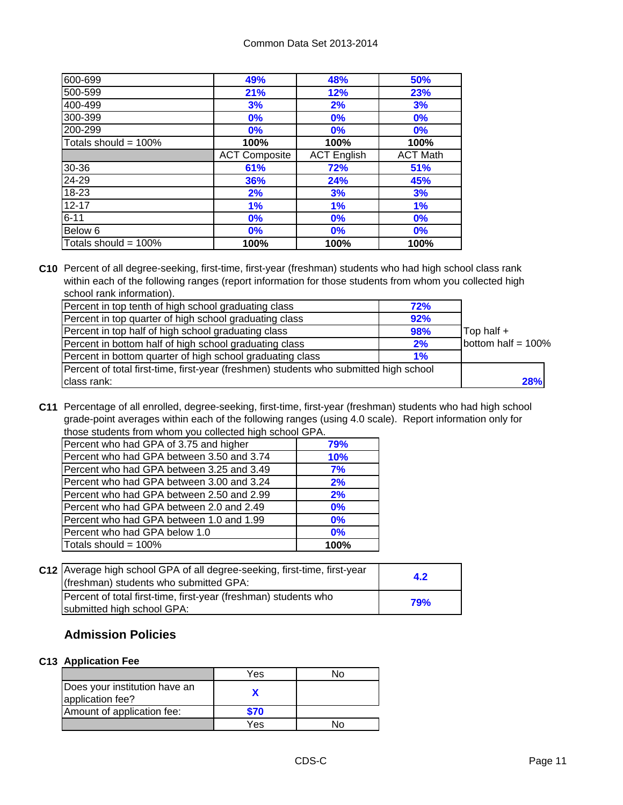| 600-699                 | 49%                  | 48%                | 50%             |
|-------------------------|----------------------|--------------------|-----------------|
| 500-599                 | 21%                  | 12%                | 23%             |
| 400-499                 | 3%                   | 2%                 | 3%              |
| 300-399                 | 0%                   | 0%                 | 0%              |
| 200-299                 | 0%                   | 0%                 | 0%              |
| Totals should = $100\%$ | 100%                 | 100%               | 100%            |
|                         | <b>ACT Composite</b> | <b>ACT English</b> | <b>ACT Math</b> |
| 30-36                   | 61%                  | 72%                | 51%             |
| 24-29                   | 36%                  | 24%                | 45%             |
| 18-23                   | 2%                   | 3%                 | 3%              |
| $12 - 17$               | 1%                   | 1%                 | 1%              |
| $6 - 11$                | 0%                   | 0%                 | 0%              |
| Below 6                 | 0%                   | 0%                 | 0%              |
| Totals should = $100\%$ | 100%                 | 100%               | 100%            |

**C10** Percent of all degree-seeking, first-time, first-year (freshman) students who had high school class rank within each of the following ranges (report information for those students from whom you collected high school rank information).

| Percent in top tenth of high school graduating class                                  | 72% |                       |
|---------------------------------------------------------------------------------------|-----|-----------------------|
| Percent in top quarter of high school graduating class                                | 92% |                       |
| Percent in top half of high school graduating class                                   | 98% | Top half +            |
| Percent in bottom half of high school graduating class                                | 2%  | bottom half = $100\%$ |
| Percent in bottom quarter of high school graduating class                             | 1%  |                       |
| Percent of total first-time, first-year (freshmen) students who submitted high school |     |                       |
| class rank:                                                                           |     | 28%                   |

**C11** Percentage of all enrolled, degree-seeking, first-time, first-year (freshman) students who had high school grade-point averages within each of the following ranges (using 4.0 scale). Report information only for those students from whom you collected high school GPA.

| Totals should = 100%                      | 100%       |
|-------------------------------------------|------------|
| Percent who had GPA below 1.0             | 0%         |
| Percent who had GPA between 1.0 and 1.99  | 0%         |
| Percent who had GPA between 2.0 and 2.49  | 0%         |
| Percent who had GPA between 2.50 and 2.99 | 2%         |
| Percent who had GPA between 3.00 and 3.24 | 2%         |
| Percent who had GPA between 3.25 and 3.49 | 7%         |
| Percent who had GPA between 3.50 and 3.74 | <b>10%</b> |
| Percent who had GPA of 3.75 and higher    | 79%        |
|                                           |            |

| C12 Average high school GPA of all degree-seeking, first-time, first-year<br>(freshman) students who submitted GPA: | 4.2        |
|---------------------------------------------------------------------------------------------------------------------|------------|
| Percent of total first-time, first-year (freshman) students who<br>submitted high school GPA:                       | <b>79%</b> |

## **Admission Policies**

## **C13 Application Fee**

|                                                   | Yes  |  |
|---------------------------------------------------|------|--|
| Does your institution have an<br>application fee? |      |  |
| Amount of application fee:                        | \$70 |  |
|                                                   | Yes  |  |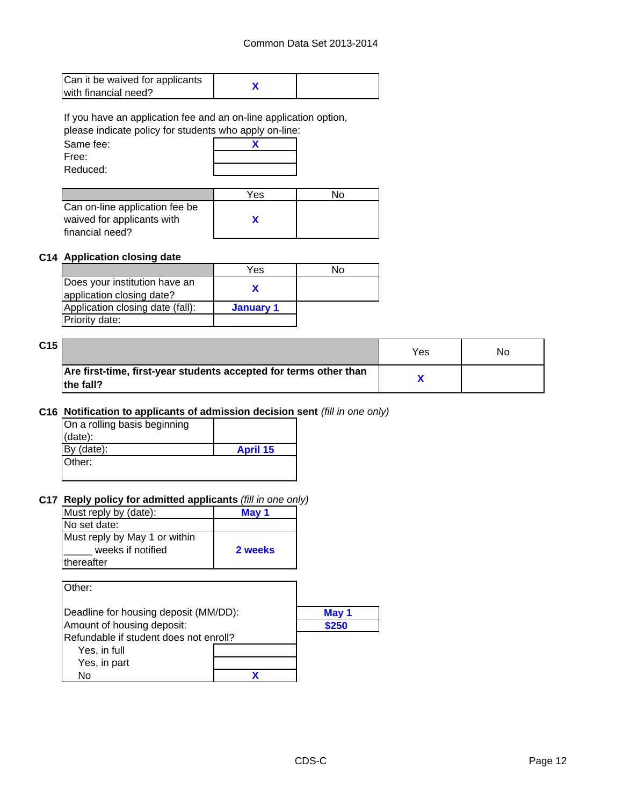| Can it be waived for applicants |  |
|---------------------------------|--|
| with financial need?            |  |

If you have an application fee and an on-line application option,

please indicate policy for students who apply on-line:

| Same fee: |  |
|-----------|--|
| Free:     |  |
| Reduced:  |  |

|                                | Yes | N٥ |
|--------------------------------|-----|----|
| Can on-line application fee be |     |    |
| waived for applicants with     |     |    |
| financial need?                |     |    |

#### **C14 Application closing date**

|                                                            | Yes       | N٥ |
|------------------------------------------------------------|-----------|----|
| Does your institution have an<br>application closing date? |           |    |
| Application closing date (fall):                           | January 1 |    |
| Priority date:                                             |           |    |

| C15 |                                                                                 | Yes | No |
|-----|---------------------------------------------------------------------------------|-----|----|
|     | Are first-time, first-year students accepted for terms other than<br>lthe fall? |     |    |

#### **C16 Notification to applicants of admission decision sent** *(fill in one only)*

| On a rolling basis beginning |                 |
|------------------------------|-----------------|
| (data):                      |                 |
| By (date):                   | <b>April 15</b> |
| Other:                       |                 |
|                              |                 |

### **C17 Reply policy for admitted applicants** *(fill in one only)*

| Must reply by (date):         | May 1   |
|-------------------------------|---------|
| No set date:                  |         |
| Must reply by May 1 or within |         |
| weeks if notified             | 2 weeks |
| thereafter                    |         |
|                               |         |

| Other:                                 |       |
|----------------------------------------|-------|
| Deadline for housing deposit (MM/DD):  | May 1 |
| Amount of housing deposit:             | \$250 |
| Refundable if student does not enroll? |       |
| Yes, in full                           |       |
| Yes, in part                           |       |
| N٥                                     |       |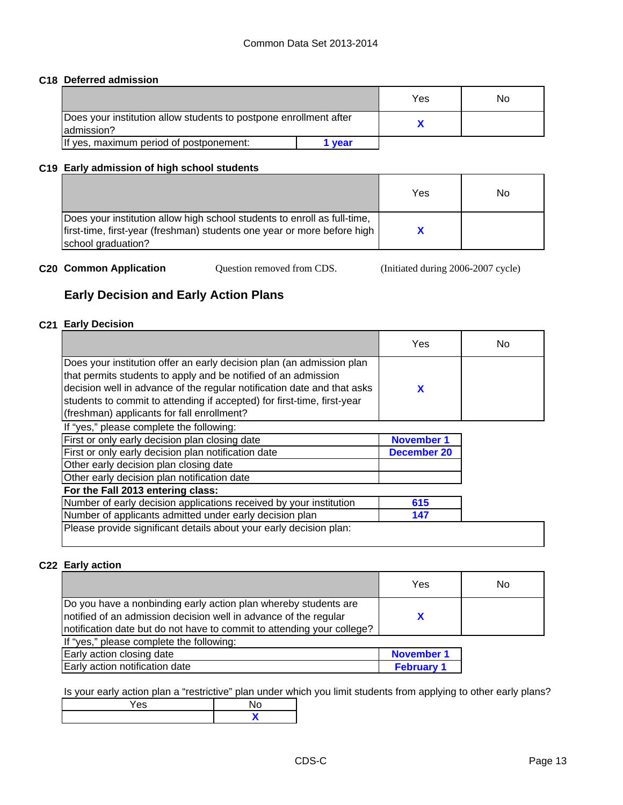## **C18 Deferred admission**

|                                                                                  |      | Yes | No |
|----------------------------------------------------------------------------------|------|-----|----|
| Does your institution allow students to postpone enrollment after<br>ladmission? |      |     |    |
| If yes, maximum period of postponement:                                          | vear |     |    |

#### **C19 Early admission of high school students**

|                                                                                                                                                                           | Yes | No |
|---------------------------------------------------------------------------------------------------------------------------------------------------------------------------|-----|----|
| Does your institution allow high school students to enroll as full-time,<br>first-time, first-year (freshman) students one year or more before high<br>school graduation? |     |    |

|  | <b>C20 Common Application</b> | Question removed from CDS. | (Initiated during 2006-2007 cycle) |
|--|-------------------------------|----------------------------|------------------------------------|
|--|-------------------------------|----------------------------|------------------------------------|

## **Early Decision and Early Action Plans**

#### **C21 Early Decision**

|                                                                                                                                                                                                                                                                                                                                             | Yes               | No |
|---------------------------------------------------------------------------------------------------------------------------------------------------------------------------------------------------------------------------------------------------------------------------------------------------------------------------------------------|-------------------|----|
| Does your institution offer an early decision plan (an admission plan<br>that permits students to apply and be notified of an admission<br>decision well in advance of the regular notification date and that asks<br>students to commit to attending if accepted) for first-time, first-year<br>(freshman) applicants for fall enrollment? | X                 |    |
| If "yes," please complete the following:                                                                                                                                                                                                                                                                                                    |                   |    |
| First or only early decision plan closing date                                                                                                                                                                                                                                                                                              | <b>November 1</b> |    |
| First or only early decision plan notification date                                                                                                                                                                                                                                                                                         | December 20       |    |
| Other early decision plan closing date                                                                                                                                                                                                                                                                                                      |                   |    |
| Other early decision plan notification date                                                                                                                                                                                                                                                                                                 |                   |    |
| For the Fall 2013 entering class:                                                                                                                                                                                                                                                                                                           |                   |    |
| Number of early decision applications received by your institution                                                                                                                                                                                                                                                                          | 615               |    |
| Number of applicants admitted under early decision plan                                                                                                                                                                                                                                                                                     | 147               |    |
| Please provide significant details about your early decision plan:                                                                                                                                                                                                                                                                          |                   |    |

#### **C22 Early action**

|                                                                                                                                                                                                               | Yes               | No |
|---------------------------------------------------------------------------------------------------------------------------------------------------------------------------------------------------------------|-------------------|----|
| Do you have a nonbinding early action plan whereby students are<br>notified of an admission decision well in advance of the regular<br>notification date but do not have to commit to attending your college? |                   |    |
| If "yes," please complete the following:                                                                                                                                                                      |                   |    |
| Early action closing date                                                                                                                                                                                     | <b>November 1</b> |    |
| Early action notification date                                                                                                                                                                                | <b>February 1</b> |    |

Is your early action plan a "restrictive" plan under which you limit students from applying to other early plans?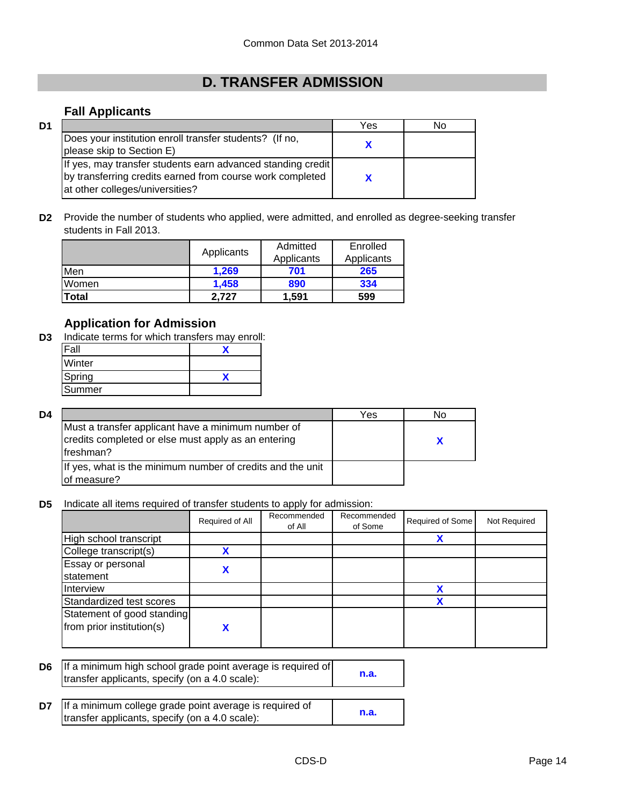# **D. TRANSFER ADMISSION**

## **Fall Applicants**

| D1 |                                                                                                                                                             | Yes | No |
|----|-------------------------------------------------------------------------------------------------------------------------------------------------------------|-----|----|
|    | Does your institution enroll transfer students? (If no,<br>please skip to Section E)                                                                        |     |    |
|    | If yes, may transfer students earn advanced standing credit<br>by transferring credits earned from course work completed<br>at other colleges/universities? |     |    |

**D2** Provide the number of students who applied, were admitted, and enrolled as degree-seeking transfer students in Fall 2013.

|       |            | Admitted   | Enrolled   |
|-------|------------|------------|------------|
|       | Applicants | Applicants | Applicants |
| Men   | 1.269      | 701        | 265        |
| Women | 1.458      | 890        | 334        |
| Total | 2.727      | 1.591      | 599        |

## **Application for Admission**

**D3** Indicate terms for which transfers may enroll:

| Fall   |  |
|--------|--|
| Winter |  |
| Spring |  |
| Summer |  |

| D4 |                                                                                                                        | Yes | N٥ |
|----|------------------------------------------------------------------------------------------------------------------------|-----|----|
|    | Must a transfer applicant have a minimum number of<br>credits completed or else must apply as an entering<br>freshman? |     |    |
|    | If yes, what is the minimum number of credits and the unit<br>of measure?                                              |     |    |

**D5** Indicate all items required of transfer students to apply for admission:

|                                                         | Required of All | Recommended<br>of All | Recommended<br>of Some | Required of Some | Not Required |
|---------------------------------------------------------|-----------------|-----------------------|------------------------|------------------|--------------|
| High school transcript                                  |                 |                       |                        | Х                |              |
| College transcript(s)                                   |                 |                       |                        |                  |              |
| Essay or personal<br>statement                          |                 |                       |                        |                  |              |
| Interview                                               |                 |                       |                        |                  |              |
| Standardized test scores                                |                 |                       |                        | v                |              |
| Statement of good standing<br>from prior institution(s) |                 |                       |                        |                  |              |

| <b>D6</b> If a minimum high school grade point average is required of |      |
|-----------------------------------------------------------------------|------|
| transfer applicants, specify (on a 4.0 scale):                        | n.a. |

| <b>D7</b> If a minimum college grade point average is required of |      |
|-------------------------------------------------------------------|------|
| transfer applicants, specify (on a 4.0 scale):                    | n.a. |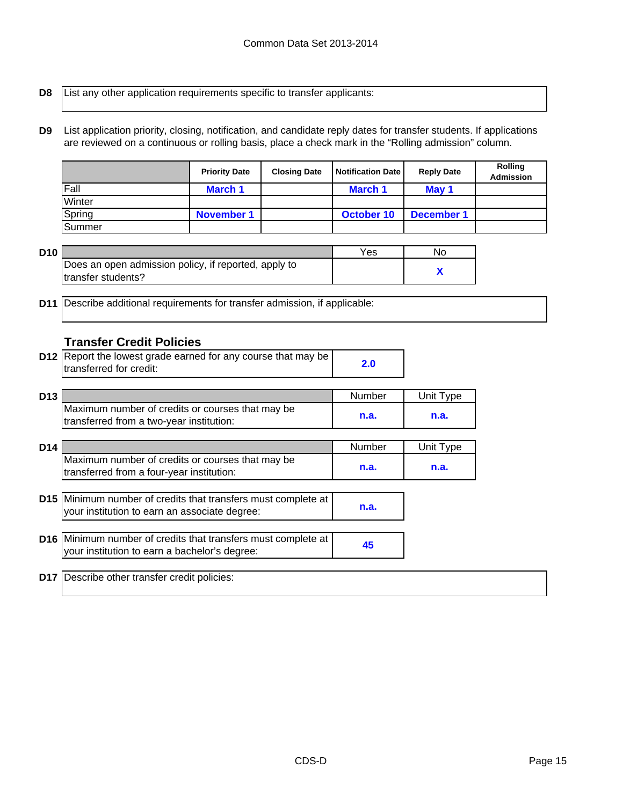**D8**

List any other application requirements specific to transfer applicants:

**D9** List application priority, closing, notification, and candidate reply dates for transfer students. If applications are reviewed on a continuous or rolling basis, place a check mark in the "Rolling admission" column.

|        | <b>Priority Date</b> | <b>Closing Date</b> | <b>Notification Date</b> | <b>Reply Date</b> | <b>Rolling</b><br><b>Admission</b> |
|--------|----------------------|---------------------|--------------------------|-------------------|------------------------------------|
| Fall   | <b>March 1</b>       |                     | March 1                  | May 1             |                                    |
| Winter |                      |                     |                          |                   |                                    |
| Spring | <b>November 1</b>    |                     | October 10               | December 1        |                                    |
| Summer |                      |                     |                          |                   |                                    |

| D10 |                                                      | Yes | No |
|-----|------------------------------------------------------|-----|----|
|     | Does an open admission policy, if reported, apply to |     |    |
|     | Itransfer students?                                  |     |    |

**D11** Describe additional requirements for transfer admission, if applicable:

## **Transfer Credit Policies**

| <b>D12</b> Report the lowest grade earned for any course that may be |  |
|----------------------------------------------------------------------|--|
| transferred for credit:                                              |  |

| D <sub>13</sub> |                                                  | Number | $^{\mathsf{T}}$ vpe<br>Jnitl |
|-----------------|--------------------------------------------------|--------|------------------------------|
|                 | Maximum number of credits or courses that may be | n.a.   | n.a.                         |
|                 | transferred from a two-year institution:         |        |                              |

| D <sub>14</sub> |                                                  | Number | Unit Type |
|-----------------|--------------------------------------------------|--------|-----------|
|                 | Maximum number of credits or courses that may be |        |           |
|                 | transferred from a four-year institution:        | n.a.   | n.a.      |

| D15 Minimum number of credits that transfers must complete at |      |
|---------------------------------------------------------------|------|
| your institution to earn an associate degree:                 | n.a. |
|                                                               |      |

| D16 Minimum number of credits that transfers must complete at |  |
|---------------------------------------------------------------|--|
| your institution to earn a bachelor's degree:                 |  |

**D17** Describe other transfer credit policies: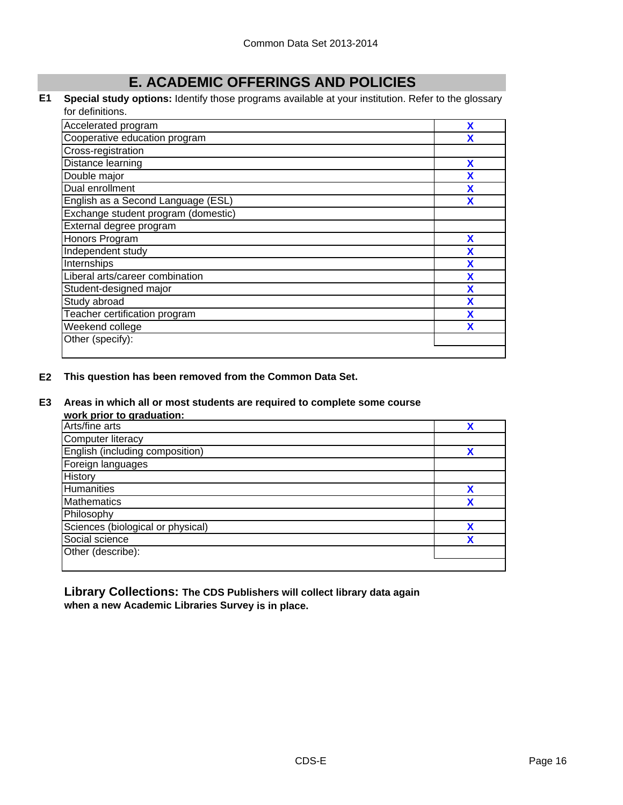## **E. ACADEMIC OFFERINGS AND POLICIES**

#### **E1 Special study options:** Identify those programs available at your institution. Refer to the glossary for definitions.

| Accelerated program                 | X |
|-------------------------------------|---|
| Cooperative education program       |   |
| Cross-registration                  |   |
| Distance learning                   | X |
| Double major                        | X |
| Dual enrollment                     | X |
| English as a Second Language (ESL)  | x |
| Exchange student program (domestic) |   |
| External degree program             |   |
| Honors Program                      | X |
| Independent study                   | X |
| Internships                         | X |
| Liberal arts/career combination     | X |
| Student-designed major              | X |
| Study abroad                        | X |
| Teacher certification program       | X |
| Weekend college                     | x |
| Other (specify):                    |   |
|                                     |   |

#### **E2 This question has been removed from the Common Data Set.**

#### **E3 Areas in which all or most students are required to complete some course**

**work prior to graduation:**

| <b>WOLN DITOL TO GLAUGHOLL</b>    |   |
|-----------------------------------|---|
| Arts/fine arts                    |   |
| <b>Computer literacy</b>          |   |
| English (including composition)   | χ |
| Foreign languages                 |   |
| History                           |   |
| Humanities                        | χ |
| <b>Mathematics</b>                |   |
| Philosophy                        |   |
| Sciences (biological or physical) |   |
| Social science                    | v |
| Other (describe):                 |   |
|                                   |   |

**Library Collections: The CDS Publishers will collect library data again when a new Academic Libraries Survey is in place.**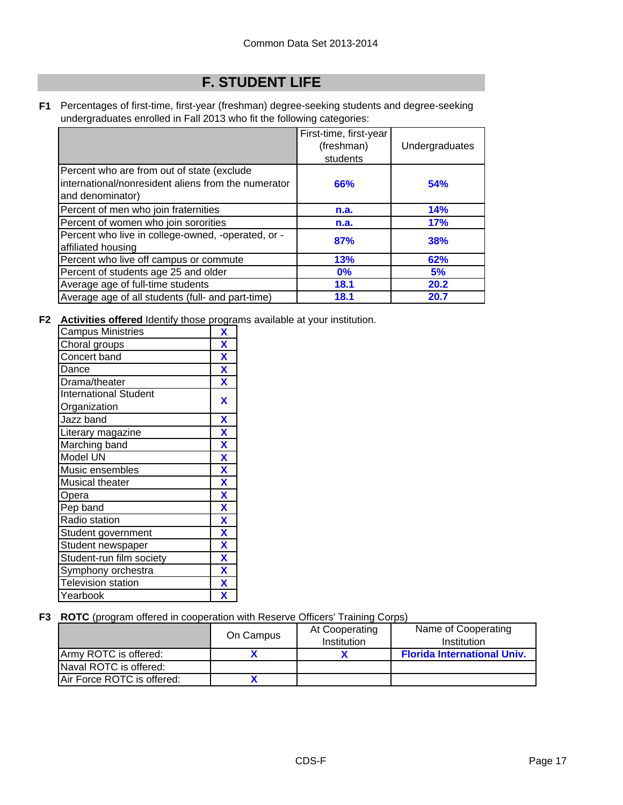# **F. STUDENT LIFE**

**F1** Percentages of first-time, first-year (freshman) degree-seeking students and degree-seeking undergraduates enrolled in Fall 2013 who fit the following categories:

|                                                                                                                        | First-time, first-year |                |
|------------------------------------------------------------------------------------------------------------------------|------------------------|----------------|
|                                                                                                                        | (freshman)             | Undergraduates |
|                                                                                                                        | students               |                |
| Percent who are from out of state (exclude<br>linternational/nonresident aliens from the numerator<br>and denominator) | 66%                    | 54%            |
| Percent of men who join fraternities                                                                                   | n.a.                   | 14%            |
| Percent of women who join sororities                                                                                   | n.a.                   | 17%            |
| Percent who live in college-owned, -operated, or -<br>affiliated housing                                               | 87%                    | 38%            |
| Percent who live off campus or commute                                                                                 | 13%                    | 62%            |
| Percent of students age 25 and older                                                                                   | $0\%$                  | 5%             |
| Average age of full-time students                                                                                      | 18.1                   | 20.2           |
| Average age of all students (full- and part-time)                                                                      | 18.1                   | 20.7           |

**F2 Activities offered** Identify those programs available at your institution.

| <b>Campus Ministries</b>     | X                         |
|------------------------------|---------------------------|
| Choral groups                | $\overline{\mathbf{X}}$   |
| Concert band                 | X                         |
| Dance                        | $\boldsymbol{\mathsf{X}}$ |
| Drama/theater                | $\overline{\mathbf{X}}$   |
| <b>International Student</b> | X                         |
| Organization                 |                           |
| Jazz band                    | X                         |
| Literary magazine            | $\overline{\mathbf{X}}$   |
| Marching band                | $\overline{\mathbf{X}}$   |
| Model UN                     | X                         |
| Music ensembles              | $\overline{\mathbf{X}}$   |
| Musical theater              | $\boldsymbol{\mathsf{X}}$ |
| Opera                        | $\overline{\mathbf{X}}$   |
| Pep band                     | $\boldsymbol{\mathsf{x}}$ |
| Radio station                | $\overline{\mathbf{X}}$   |
| Student government           | $\overline{\mathbf{X}}$   |
| Student newspaper            | $\overline{\mathbf{X}}$   |
| Student-run film society     | $\boldsymbol{\mathsf{X}}$ |
| Symphony orchestra           | $\mathbf x$               |
| <b>Television station</b>    | $\overline{\mathbf{X}}$   |
| Yearbook                     | χ                         |

### **F3 ROTC** (program offered in cooperation with Reserve Officers' Training Corps)

|                            | On Campus | At Cooperating<br>Institution | Name of Cooperating<br>Institution |
|----------------------------|-----------|-------------------------------|------------------------------------|
| Army ROTC is offered:      |           |                               | <b>Florida International Univ.</b> |
| Naval ROTC is offered:     |           |                               |                                    |
| Air Force ROTC is offered: |           |                               |                                    |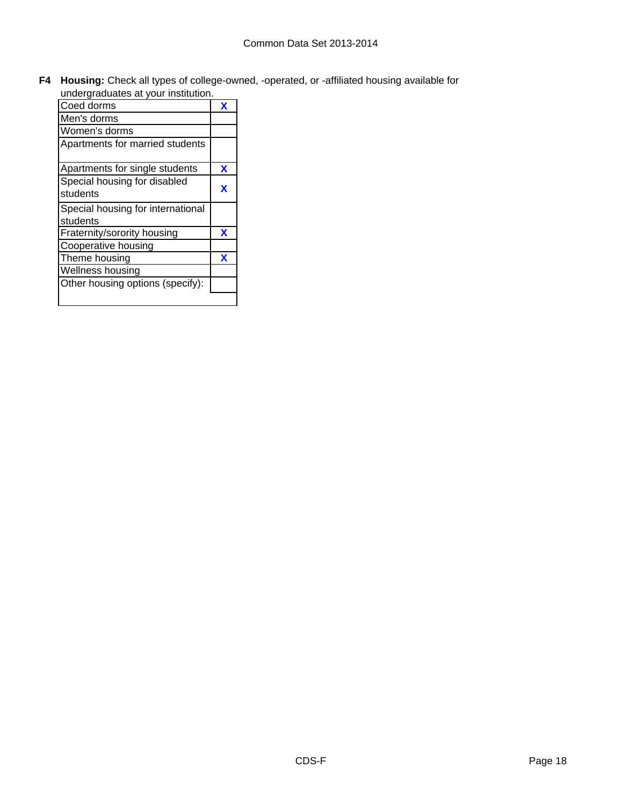**F4 Housing:** Check all types of college-owned, -operated, or -affiliated housing available for undergraduates at your institution.

| undergraduates at your institution. |   |
|-------------------------------------|---|
| Coed dorms                          | x |
| Men's dorms                         |   |
| Women's dorms                       |   |
| Apartments for married students     |   |
| Apartments for single students      | X |
| Special housing for disabled        |   |
| students                            | x |
| Special housing for international   |   |
| students                            |   |
| Fraternity/sorority housing         | x |
| Cooperative housing                 |   |
| Theme housing                       | x |
| Wellness housing                    |   |
| Other housing options (specify):    |   |
|                                     |   |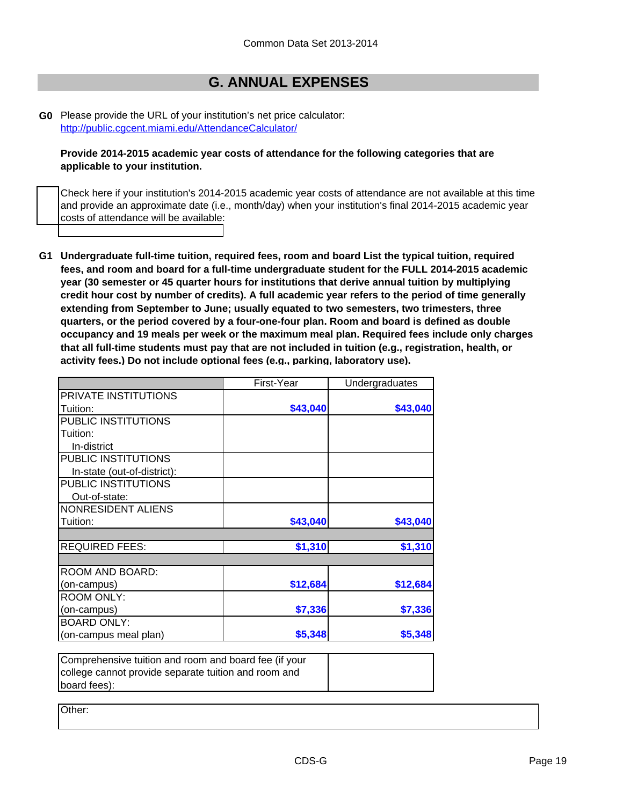## **G. ANNUAL EXPENSES**

**G0** [Please provide the URL of your institution's net pri](http://public.cgcent.miami.edu/AttendanceCalculator/)ce calculator: http://public.cgcent.miami.edu/AttendanceCalculator/

**Provide 2014-2015 academic year costs of attendance for the following categories that are applicable to your institution.**

Check here if your institution's 2014-2015 academic year costs of attendance are not available at this time and provide an approximate date (i.e., month/day) when your institution's final 2014-2015 academic year costs of attendance will be available:

**G1 Undergraduate full-time tuition, required fees, room and board List the typical tuition, required fees, and room and board for a full-time undergraduate student for the FULL 2014-2015 academic year (30 semester or 45 quarter hours for institutions that derive annual tuition by multiplying credit hour cost by number of credits). A full academic year refers to the period of time generally extending from September to June; usually equated to two semesters, two trimesters, three quarters, or the period covered by a four-one-four plan. Room and board is defined as double occupancy and 19 meals per week or the maximum meal plan. Required fees include only charges that all full-time students must pay that are not included in tuition (e.g., registration, health, or activity fees.) Do not include optional fees (e.g., parking, laboratory use).**

|                             | First-Year | Undergraduates |
|-----------------------------|------------|----------------|
| PRIVATE INSTITUTIONS        |            |                |
| Tuition:                    | \$43,040   | \$43,040       |
| PUBLIC INSTITUTIONS         |            |                |
| Tuition:                    |            |                |
| In-district                 |            |                |
| PUBLIC INSTITUTIONS         |            |                |
| In-state (out-of-district): |            |                |
| PUBLIC INSTITUTIONS         |            |                |
| Out-of-state:               |            |                |
| NONRESIDENT ALIENS          |            |                |
| Tuition:                    | \$43,040   | \$43,040       |
|                             |            |                |
| <b>REQUIRED FEES:</b>       | \$1,310    | \$1,310        |
|                             |            |                |
| ROOM AND BOARD:             |            |                |
| (on-campus)                 | \$12,684   | \$12,684       |
| <b>ROOM ONLY:</b>           |            |                |
| (on-campus)                 | \$7,336    | \$7,336        |
| <b>BOARD ONLY:</b>          |            |                |
| (on-campus meal plan)       | \$5,348    | \$5,348        |
|                             |            |                |

Comprehensive tuition and room and board fee (if your college cannot provide separate tuition and room and board fees):

Other: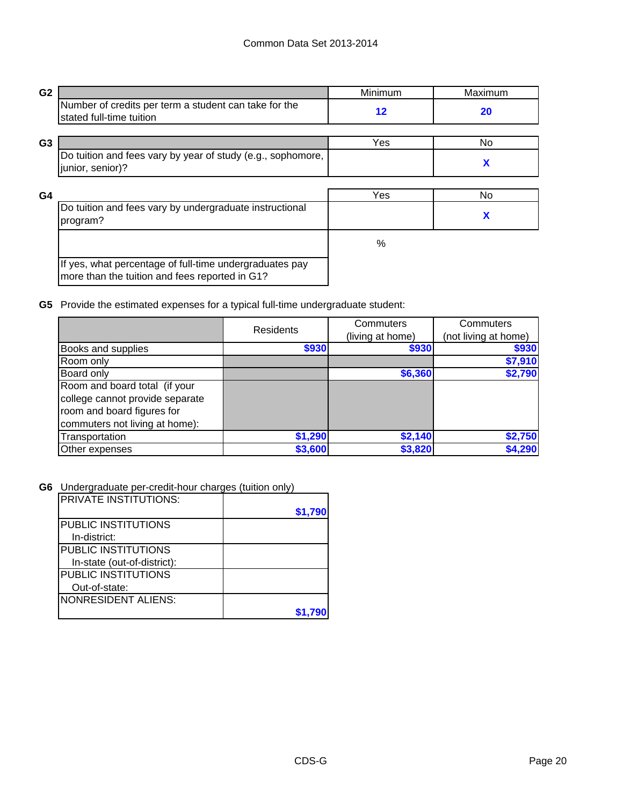| G <sub>2</sub> |                                                                                                           | Minimum    | Maximum   |
|----------------|-----------------------------------------------------------------------------------------------------------|------------|-----------|
|                | Number of credits per term a student can take for the<br>stated full-time tuition                         | $12 \,$    | <b>20</b> |
|                |                                                                                                           |            |           |
| G <sub>3</sub> |                                                                                                           | <b>Yes</b> | No.       |
|                | Do tuition and fees vary by year of study (e.g., sophomore,<br>junior, senior)?                           |            | X         |
|                |                                                                                                           |            |           |
| G4             |                                                                                                           | Yes        | No.       |
|                | Do tuition and fees vary by undergraduate instructional<br>program?                                       |            | X         |
|                |                                                                                                           | %          |           |
|                | If yes, what percentage of full-time undergraduates pay<br>more than the tuition and fees reported in G1? |            |           |

**G5** Provide the estimated expenses for a typical full-time undergraduate student:

|                                                                                                                                  | <b>Residents</b> | Commuters<br>(living at home) | Commuters<br>(not living at home) |
|----------------------------------------------------------------------------------------------------------------------------------|------------------|-------------------------------|-----------------------------------|
| Books and supplies                                                                                                               | \$930            | \$930                         | \$930                             |
| Room only                                                                                                                        |                  |                               | \$7,910                           |
| Board only                                                                                                                       |                  | \$6,360                       | \$2,790                           |
| Room and board total (if your<br>college cannot provide separate<br>room and board figures for<br>commuters not living at home): |                  |                               |                                   |
| Transportation                                                                                                                   | \$1,290          | \$2,140                       | \$2,750                           |
| Other expenses                                                                                                                   | \$3,600          | \$3,820                       | \$4,290                           |

**G6** Undergraduate per-credit-hour charges (tuition only)

| <b>PRIVATE INSTITUTIONS:</b> |         |
|------------------------------|---------|
|                              | \$1,790 |
| PUBLIC INSTITUTIONS          |         |
| In-district:                 |         |
| PUBLIC INSTITUTIONS          |         |
| In-state (out-of-district):  |         |
| PUBLIC INSTITUTIONS          |         |
| Out-of-state:                |         |
| <b>NONRESIDENT ALIENS:</b>   |         |
|                              |         |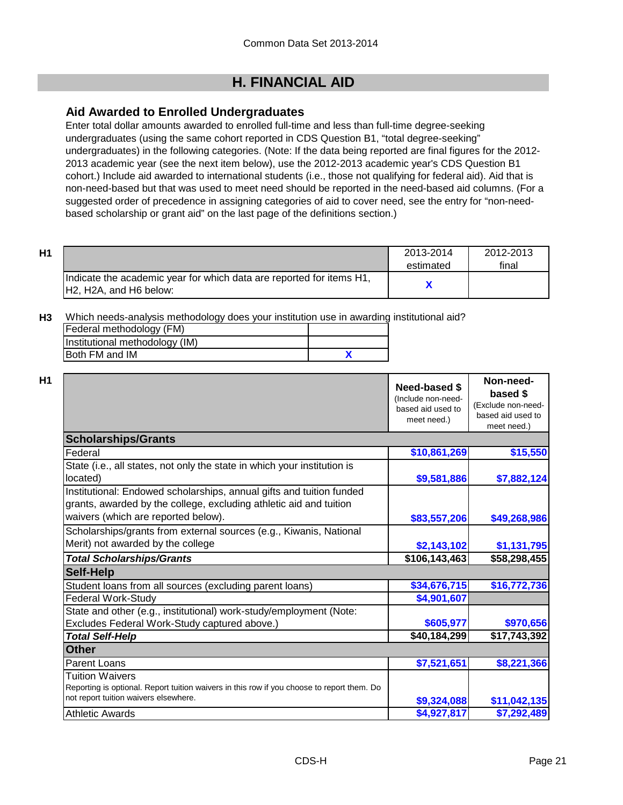## **H. FINANCIAL AID**

## **Aid Awarded to Enrolled Undergraduates**

Enter total dollar amounts awarded to enrolled full-time and less than full-time degree-seeking undergraduates (using the same cohort reported in CDS Question B1, "total degree-seeking" undergraduates) in the following categories. (Note: If the data being reported are final figures for the 2012- 2013 academic year (see the next item below), use the 2012-2013 academic year's CDS Question B1 cohort.) Include aid awarded to international students (i.e., those not qualifying for federal aid). Aid that is non-need-based but that was used to meet need should be reported in the need-based aid columns. (For a suggested order of precedence in assigning categories of aid to cover need, see the entry for "non-needbased scholarship or grant aid" on the last page of the definitions section.)

| H1                                                                                              | 2013-2014 | 2012-2013 |
|-------------------------------------------------------------------------------------------------|-----------|-----------|
|                                                                                                 | estimated | final     |
| Indicate the academic year for which data are reported for items H1,<br>IH2. H2A, and H6 below: |           |           |

**H3** Which needs-analysis methodology does your institution use in awarding institutional aid?

| Federal methodology (FM)       |  |
|--------------------------------|--|
| Institutional methodology (IM) |  |
| Both FM and IM                 |  |

|                                                                                                                                                                                   | <b>Need-based \$</b><br>(Include non-need-<br>based aid used to<br>meet need.) | Non-need-<br>based \$<br>(Exclude non-need-<br>based aid used to<br>meet need.) |
|-----------------------------------------------------------------------------------------------------------------------------------------------------------------------------------|--------------------------------------------------------------------------------|---------------------------------------------------------------------------------|
| <b>Scholarships/Grants</b>                                                                                                                                                        |                                                                                |                                                                                 |
| Federal                                                                                                                                                                           | \$10,861,269                                                                   | \$15,550                                                                        |
| State (i.e., all states, not only the state in which your institution is<br>located)                                                                                              | \$9,581,886                                                                    | \$7,882,124                                                                     |
| Institutional: Endowed scholarships, annual gifts and tuition funded<br>grants, awarded by the college, excluding athletic aid and tuition<br>waivers (which are reported below). | \$83,557,206                                                                   | \$49,268,986                                                                    |
| Scholarships/grants from external sources (e.g., Kiwanis, National<br>Merit) not awarded by the college                                                                           | \$2,143,102                                                                    | \$1,131,795                                                                     |
| <b>Total Scholarships/Grants</b>                                                                                                                                                  | \$106,143,463                                                                  | \$58,298,455                                                                    |
| <b>Self-Help</b>                                                                                                                                                                  |                                                                                |                                                                                 |
| Student loans from all sources (excluding parent loans)                                                                                                                           | \$34,676,715                                                                   | \$16,772,736                                                                    |
| <b>Federal Work-Study</b>                                                                                                                                                         | \$4,901,607                                                                    |                                                                                 |
| State and other (e.g., institutional) work-study/employment (Note:                                                                                                                |                                                                                |                                                                                 |
| Excludes Federal Work-Study captured above.)                                                                                                                                      | \$605,977                                                                      | \$970,656                                                                       |
| <b>Total Self-Help</b>                                                                                                                                                            | \$40,184,299                                                                   | \$17,743,392                                                                    |
| <b>Other</b>                                                                                                                                                                      |                                                                                |                                                                                 |
| <b>Parent Loans</b>                                                                                                                                                               | \$7,521,651                                                                    | \$8,221,366                                                                     |
| Tuition Waivers<br>Reporting is optional. Report tuition waivers in this row if you choose to report them. Do<br>not report tuition waivers elsewhere.                            | \$9,324,088                                                                    | \$11,042,135                                                                    |
| <b>Athletic Awards</b>                                                                                                                                                            | \$4,927,817                                                                    | \$7,292,489                                                                     |
|                                                                                                                                                                                   |                                                                                |                                                                                 |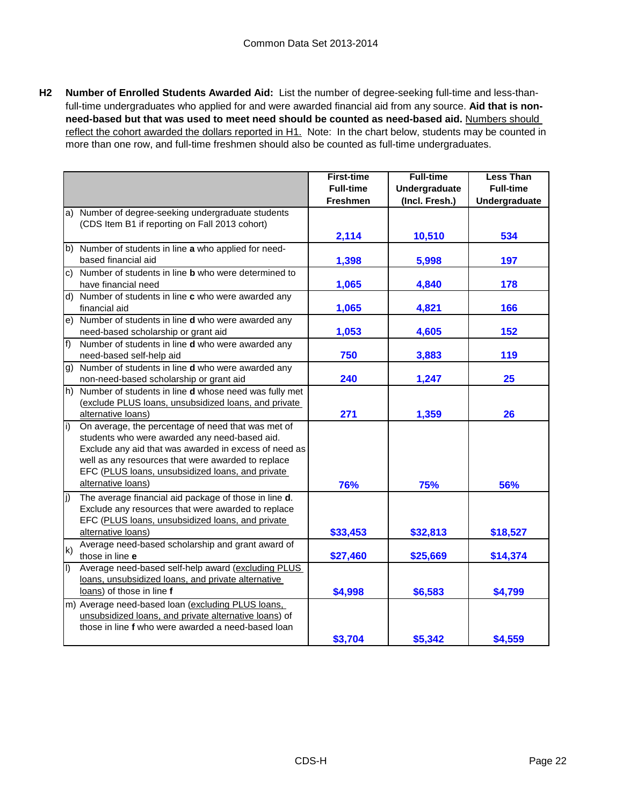**H2 Number of Enrolled Students Awarded Aid:** List the number of degree-seeking full-time and less-thanfull-time undergraduates who applied for and were awarded financial aid from any source. **Aid that is nonneed-based but that was used to meet need should be counted as need-based aid.** Numbers should reflect the cohort awarded the dollars reported in H1. Note: In the chart below, students may be counted in more than one row, and full-time freshmen should also be counted as full-time undergraduates.

|                         |                                                            | <b>First-time</b> | <b>Full-time</b> | <b>Less Than</b> |
|-------------------------|------------------------------------------------------------|-------------------|------------------|------------------|
|                         |                                                            | <b>Full-time</b>  | Undergraduate    | <b>Full-time</b> |
|                         |                                                            | <b>Freshmen</b>   | (Incl. Fresh.)   | Undergraduate    |
| a)                      | Number of degree-seeking undergraduate students            |                   |                  |                  |
|                         | (CDS Item B1 if reporting on Fall 2013 cohort)             |                   |                  |                  |
|                         |                                                            | 2,114             | 10,510           | 534              |
| b)                      | Number of students in line a who applied for need-         |                   |                  |                  |
|                         | based financial aid                                        | 1,398             | 5,998            | 197              |
| C)                      | Number of students in line <b>b</b> who were determined to |                   |                  |                  |
|                         | have financial need                                        | 1,065             | 4,840            | 178              |
|                         | d) Number of students in line c who were awarded any       |                   |                  |                  |
|                         | financial aid                                              | 1,065             | 4,821            | 166              |
| e)                      | Number of students in line d who were awarded any          |                   |                  |                  |
|                         | need-based scholarship or grant aid                        | 1,053             | 4,605            | 152              |
| f)                      | Number of students in line d who were awarded any          |                   |                  |                  |
|                         | need-based self-help aid                                   | 750               | 3,883            | 119              |
| g)                      | Number of students in line d who were awarded any          |                   |                  |                  |
|                         | non-need-based scholarship or grant aid                    | 240               | 1,247            | 25               |
| h)                      | Number of students in line d whose need was fully met      |                   |                  |                  |
|                         | (exclude PLUS loans, unsubsidized loans, and private       |                   |                  |                  |
|                         | alternative loans)                                         | 271               | 1,359            | 26               |
| $\overline{1}$          | On average, the percentage of need that was met of         |                   |                  |                  |
|                         | students who were awarded any need-based aid.              |                   |                  |                  |
|                         | Exclude any aid that was awarded in excess of need as      |                   |                  |                  |
|                         | well as any resources that were awarded to replace         |                   |                  |                  |
|                         | EFC (PLUS loans, unsubsidized loans, and private           |                   |                  |                  |
|                         | alternative loans)                                         | 76%               | 75%              | 56%              |
| $\overline{jj}$         | The average financial aid package of those in line d.      |                   |                  |                  |
|                         | Exclude any resources that were awarded to replace         |                   |                  |                  |
|                         | EFC (PLUS loans, unsubsidized loans, and private           |                   |                  |                  |
|                         | alternative loans)                                         | \$33,453          | \$32,813         | \$18,527         |
| k)                      | Average need-based scholarship and grant award of          |                   |                  |                  |
|                         | those in line e                                            | \$27,460          | \$25,669         | \$14,374         |
| $\overline{\mathbb{D}}$ | Average need-based self-help award (excluding PLUS         |                   |                  |                  |
|                         | loans, unsubsidized loans, and private alternative         |                   |                  |                  |
|                         | loans) of those in line f                                  | \$4,998           | \$6,583          | \$4,799          |
|                         | m) Average need-based loan (excluding PLUS loans,          |                   |                  |                  |
|                         | unsubsidized loans, and private alternative loans) of      |                   |                  |                  |
|                         | those in line f who were awarded a need-based loan         |                   |                  |                  |
|                         |                                                            | \$3,704           | \$5,342          | \$4,559          |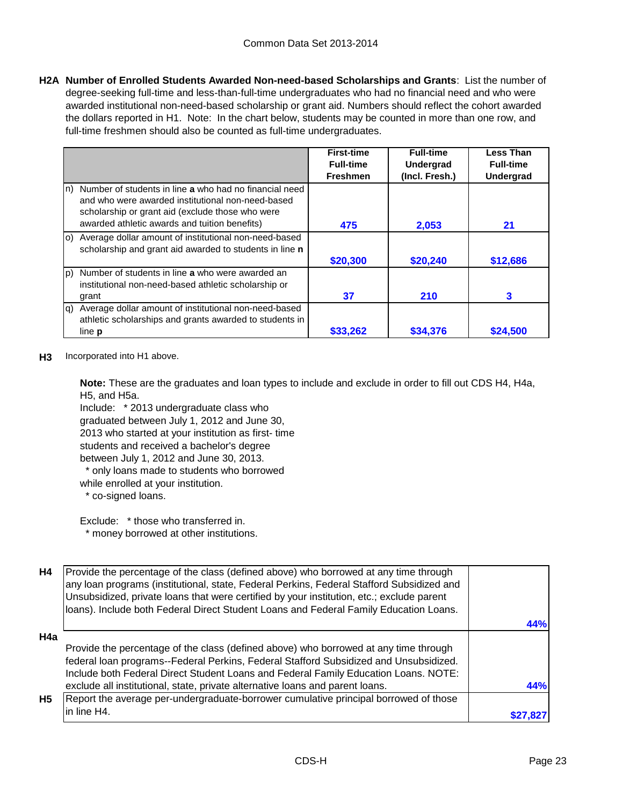**H2A Number of Enrolled Students Awarded Non-need-based Scholarships and Grants**: List the number of degree-seeking full-time and less-than-full-time undergraduates who had no financial need and who were awarded institutional non-need-based scholarship or grant aid. Numbers should reflect the cohort awarded the dollars reported in H1. Note: In the chart below, students may be counted in more than one row, and full-time freshmen should also be counted as full-time undergraduates.

|               |                                                                                                                                                                 | <b>First-time</b> | <b>Full-time</b> | <b>Less Than</b> |
|---------------|-----------------------------------------------------------------------------------------------------------------------------------------------------------------|-------------------|------------------|------------------|
|               |                                                                                                                                                                 | <b>Full-time</b>  | <b>Undergrad</b> | <b>Full-time</b> |
|               |                                                                                                                                                                 | <b>Freshmen</b>   | (Incl. Fresh.)   | <b>Undergrad</b> |
| ln)           | Number of students in line a who had no financial need<br>and who were awarded institutional non-need-based<br>scholarship or grant aid (exclude those who were |                   |                  |                  |
|               | awarded athletic awards and tuition benefits)                                                                                                                   | 475               | 2,053            | 21               |
|               | (o) Average dollar amount of institutional non-need-based<br>scholarship and grant aid awarded to students in line n                                            |                   |                  |                  |
|               |                                                                                                                                                                 | \$20,300          | \$20,240         | \$12,686         |
| lp)           | Number of students in line a who were awarded an<br>institutional non-need-based athletic scholarship or                                                        |                   |                  |                  |
| grant         |                                                                                                                                                                 | 37                | 210              | 3                |
| la)           | Average dollar amount of institutional non-need-based<br>athletic scholarships and grants awarded to students in                                                |                   |                  |                  |
| line <b>p</b> |                                                                                                                                                                 | \$33,262          | \$34.376         | \$24,500         |

**H3** Incorporated into H1 above.

**Note:** These are the graduates and loan types to include and exclude in order to fill out CDS H4, H4a, H5, and H5a.

Include: \* 2013 undergraduate class who graduated between July 1, 2012 and June 30, 2013 who started at your institution as first- time students and received a bachelor's degree between July 1, 2012 and June 30, 2013.

\* only loans made to students who borrowed

while enrolled at your institution.

\* co-signed loans.

Exclude: \* those who transferred in. \* money borrowed at other institutions.

| <b>H4</b> | Provide the percentage of the class (defined above) who borrowed at any time through<br>any loan programs (institutional, state, Federal Perkins, Federal Stafford Subsidized and<br>Unsubsidized, private loans that were certified by your institution, etc.; exclude parent<br>loans). Include both Federal Direct Student Loans and Federal Family Education Loans. |     |
|-----------|-------------------------------------------------------------------------------------------------------------------------------------------------------------------------------------------------------------------------------------------------------------------------------------------------------------------------------------------------------------------------|-----|
|           |                                                                                                                                                                                                                                                                                                                                                                         | 44% |
| H4a       |                                                                                                                                                                                                                                                                                                                                                                         |     |
|           | Provide the percentage of the class (defined above) who borrowed at any time through                                                                                                                                                                                                                                                                                    |     |
|           | federal loan programs--Federal Perkins, Federal Stafford Subsidized and Unsubsidized.                                                                                                                                                                                                                                                                                   |     |
|           | Include both Federal Direct Student Loans and Federal Family Education Loans. NOTE:                                                                                                                                                                                                                                                                                     |     |
|           | exclude all institutional, state, private alternative loans and parent loans.                                                                                                                                                                                                                                                                                           | 44% |
| <b>H5</b> | Report the average per-undergraduate-borrower cumulative principal borrowed of those                                                                                                                                                                                                                                                                                    |     |
|           | in line H4.                                                                                                                                                                                                                                                                                                                                                             |     |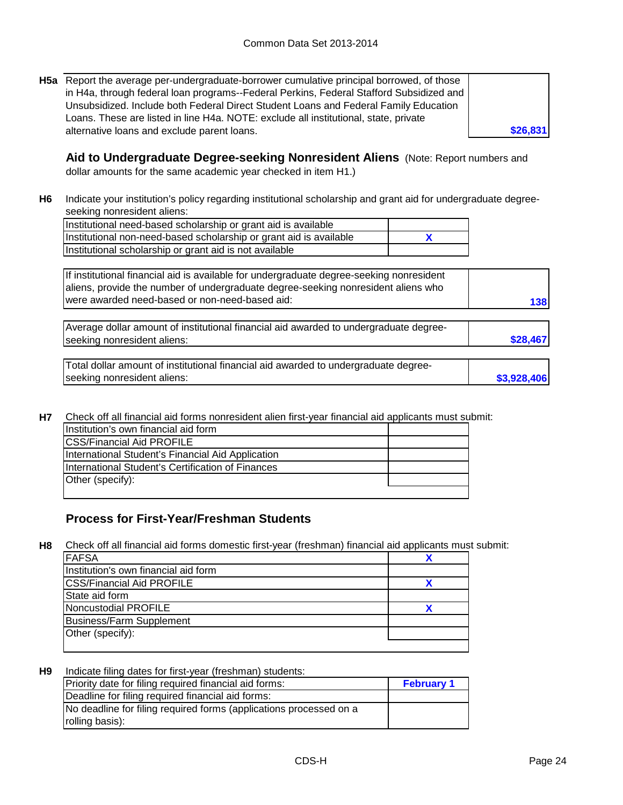**H5a** Report the average per-undergraduate-borrower cumulative principal borrowed, of those in H4a, through federal loan programs--Federal Perkins, Federal Stafford Subsidized and Unsubsidized. Include both Federal Direct Student Loans and Federal Family Education Loans. These are listed in line H4a. NOTE: exclude all institutional, state, private alternative loans and exclude parent loans.

**Aid to Undergraduate Degree-seeking Nonresident Aliens** (Note: Report numbers and dollar amounts for the same academic year checked in item H1.)

**H6** Indicate your institution's policy regarding institutional scholarship and grant aid for undergraduate degreeseeking nonresident aliens:

**X** Institutional need-based scholarship or grant aid is available Institutional non-need-based scholarship or grant aid is available Institutional scholarship or grant aid is not available

If institutional financial aid is available for undergraduate degree-seeking nonresident aliens, provide the number of undergraduate degree-seeking nonresident aliens who were awarded need-based or non-need-based aid:

| Average dollar amount of institutional financial aid awarded to undergraduate degree- |          |
|---------------------------------------------------------------------------------------|----------|
| seeking nonresident aliens:                                                           | \$28,467 |
|                                                                                       |          |

| Total dollar amount of institutional financial aid awarded to undergraduate degree- |             |
|-------------------------------------------------------------------------------------|-------------|
| seeking nonresident aliens:                                                         | \$3,928,406 |

**H7** Check off all financial aid forms nonresident alien first-year financial aid applicants must submit:

| Institution's own financial aid form              |  |
|---------------------------------------------------|--|
| <b>ICSS/Financial Aid PROFILE</b>                 |  |
| International Student's Financial Aid Application |  |
| International Student's Certification of Finances |  |
| Other (specify):                                  |  |
|                                                   |  |

## **Process for First-Year/Freshman Students**

**H8** Check off all financial aid forms domestic first-year (freshman) financial aid applicants must submit:

| <b>FAFSA</b>                         |  |
|--------------------------------------|--|
| Institution's own financial aid form |  |
| <b>CSS/Financial Aid PROFILE</b>     |  |
| State aid form                       |  |
| Noncustodial PROFILE                 |  |
| <b>Business/Farm Supplement</b>      |  |
| Other (specify):                     |  |
|                                      |  |

**H9** Indicate filing dates for first-year (freshman) students:

| Priority date for filing required financial aid forms:             | <b>February 1</b> |
|--------------------------------------------------------------------|-------------------|
| Deadline for filing required financial aid forms:                  |                   |
| No deadline for filing required forms (applications processed on a |                   |
| rolling basis):                                                    |                   |

**\$26,831**

**138**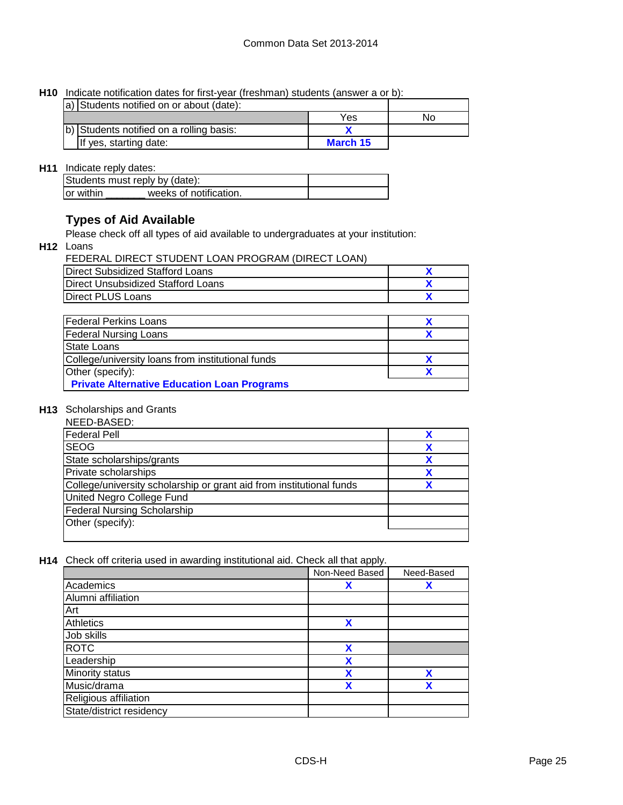**H10** Indicate notification dates for first-year (freshman) students (answer a or b):

| a) Students notified on or about (date): |          |    |
|------------------------------------------|----------|----|
|                                          | Yes      | Nο |
| b) Students notified on a rolling basis: |          |    |
| If yes, starting date:                   | March 15 |    |

## **H11** Indicate reply dates:

| Students must reply by (date): |                        |  |  |
|--------------------------------|------------------------|--|--|
| Tor within                     | weeks of notification. |  |  |

## **Types of Aid Available**

Please check off all types of aid available to undergraduates at your institution:

**H12** Loans

| FEDERAL DIRECT STUDENT LOAN PROGRAM (DIRECT LOAN) |  |
|---------------------------------------------------|--|
| Direct Subsidized Stafford Loans                  |  |
| Direct Unsubsidized Stafford Loans                |  |
| <b>IDirect PLUS Loans</b>                         |  |

| <b>Federal Perkins Loans</b>                       |  |
|----------------------------------------------------|--|
| <b>Federal Nursing Loans</b>                       |  |
| State Loans                                        |  |
| College/university loans from institutional funds  |  |
| Other (specify):                                   |  |
| <b>Private Alternative Education Loan Programs</b> |  |

### **H13** Scholarships and Grants

| NEED-BASED:                                                          |  |
|----------------------------------------------------------------------|--|
| <b>Federal Pell</b>                                                  |  |
| <b>SEOG</b>                                                          |  |
| State scholarships/grants                                            |  |
| Private scholarships                                                 |  |
| College/university scholarship or grant aid from institutional funds |  |
| United Negro College Fund                                            |  |
| <b>Federal Nursing Scholarship</b>                                   |  |
| Other (specify):                                                     |  |
|                                                                      |  |

**H14** Check off criteria used in awarding institutional aid. Check all that apply.

|                          | Non-Need Based | Need-Based |
|--------------------------|----------------|------------|
| Academics                | X              | χ          |
| Alumni affiliation       |                |            |
| Art                      |                |            |
| <b>Athletics</b>         | χ              |            |
| Job skills               |                |            |
| <b>ROTC</b>              | X              |            |
| Leadership               | χ              |            |
| Minority status          | x              | χ          |
| Music/drama              | χ              | χ          |
| Religious affiliation    |                |            |
| State/district residency |                |            |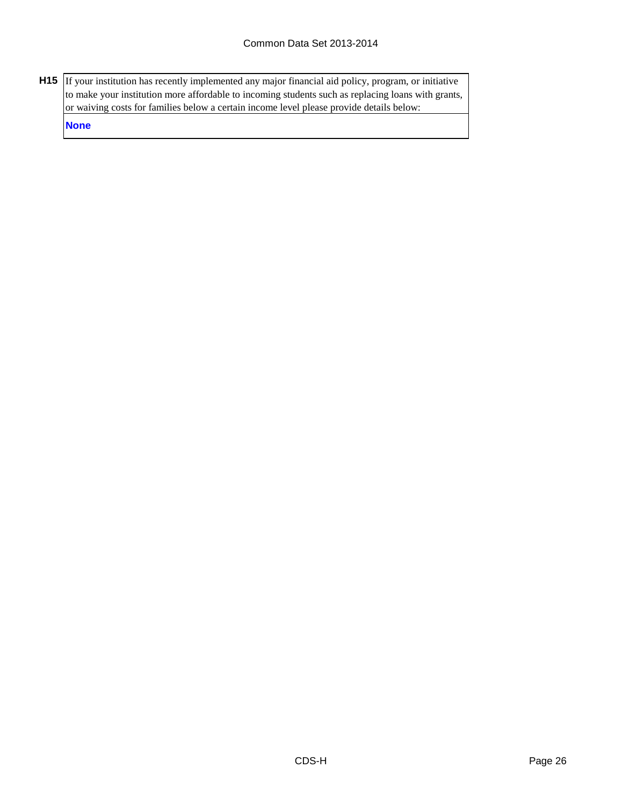**H15** If your institution has recently implemented any major financial aid policy, program, or initiative to make your institution more affordable to incoming students such as replacing loans with grants, or waiving costs for families below a certain income level please provide details below:

**None**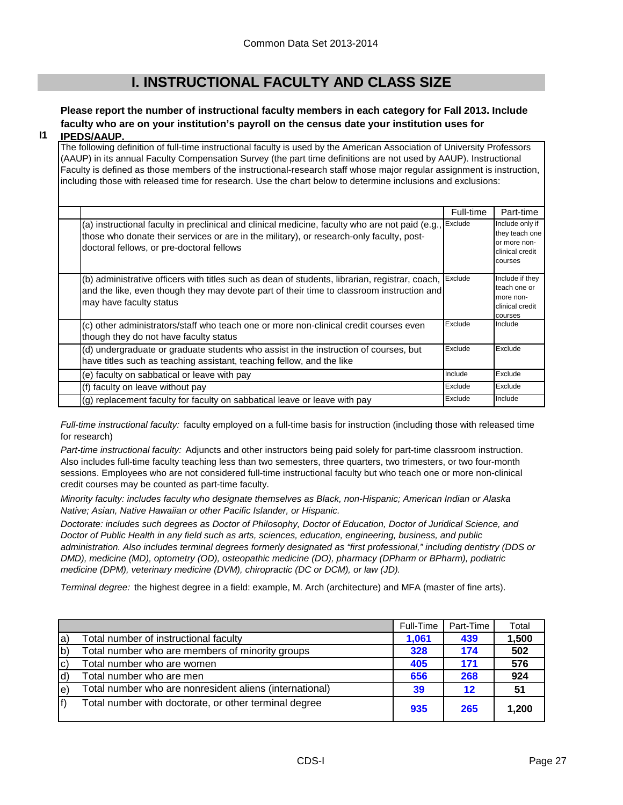## **I. INSTRUCTIONAL FACULTY AND CLASS SIZE**

## **Please report the number of instructional faculty members in each category for Fall 2013. Include faculty who are on your institution's payroll on the census date your institution uses for**

#### **I1 IPEDS/AAUP.**

The following definition of full-time instructional faculty is used by the American Association of University Professors (AAUP) in its annual Faculty Compensation Survey (the part time definitions are not used by AAUP). Instructional Faculty is defined as those members of the instructional-research staff whose major regular assignment is instruction, including those with released time for research. Use the chart below to determine inclusions and exclusions:

|                                                                                                                                                                                                                                          | Full-time | Part-time                                                                       |
|------------------------------------------------------------------------------------------------------------------------------------------------------------------------------------------------------------------------------------------|-----------|---------------------------------------------------------------------------------|
| (a) instructional faculty in preclinical and clinical medicine, faculty who are not paid (e.g.,<br>those who donate their services or are in the military), or research-only faculty, post-<br>doctoral fellows, or pre-doctoral fellows | Exclude   | Include only if<br>they teach one<br>or more non-<br>clinical credit<br>courses |
| (b) administrative officers with titles such as dean of students, librarian, registrar, coach,<br>and the like, even though they may devote part of their time to classroom instruction and<br>may have faculty status                   | Exclude   | Include if they<br>teach one or<br>more non-<br>clinical credit<br>courses      |
| (c) other administrators/staff who teach one or more non-clinical credit courses even<br>though they do not have faculty status                                                                                                          | Exclude   | Include                                                                         |
| (d) undergraduate or graduate students who assist in the instruction of courses, but<br>have titles such as teaching assistant, teaching fellow, and the like                                                                            | Exclude   | Exclude                                                                         |
| (e) faculty on sabbatical or leave with pay                                                                                                                                                                                              | Include   | Exclude                                                                         |
| (f) faculty on leave without pay                                                                                                                                                                                                         | Exclude   | Exclude                                                                         |
| (g) replacement faculty for faculty on sabbatical leave or leave with pay                                                                                                                                                                | Exclude   | Include                                                                         |

*Full-time instructional faculty:* faculty employed on a full-time basis for instruction (including those with released time for research)

*Part-time instructional faculty:* Adjuncts and other instructors being paid solely for part-time classroom instruction. Also includes full-time faculty teaching less than two semesters, three quarters, two trimesters, or two four-month sessions. Employees who are not considered full-time instructional faculty but who teach one or more non-clinical credit courses may be counted as part-time faculty.

*Minority faculty: includes faculty who designate themselves as Black, non-Hispanic; American Indian or Alaska Native; Asian, Native Hawaiian or other Pacific Islander, or Hispanic.* 

*Doctorate: includes such degrees as Doctor of Philosophy, Doctor of Education, Doctor of Juridical Science, and Doctor of Public Health in any field such as arts, sciences, education, engineering, business, and public administration. Also includes terminal degrees formerly designated as "first professional," including dentistry (DDS or DMD), medicine (MD), optometry (OD), osteopathic medicine (DO), pharmacy (DPharm or BPharm), podiatric medicine (DPM), veterinary medicine (DVM), chiropractic (DC or DCM), or law (JD).*

*Terminal degree:* the highest degree in a field: example, M. Arch (architecture) and MFA (master of fine arts).

|              |                                                         | Full-Time | Part-Time | Total |
|--------------|---------------------------------------------------------|-----------|-----------|-------|
| la)          | Total number of instructional faculty                   | 1,061     | 439       | 1,500 |
| $ b\rangle$  | Total number who are members of minority groups         | 328       | 174       | 502   |
| $ c\rangle$  | Total number who are women                              | 405       | 171       | 576   |
| $\mathsf{d}$ | Total number who are men                                | 656       | 268       | 924   |
| le)          | Total number who are nonresident aliens (international) | 39        | 12        | 51    |
| lf)          | Total number with doctorate, or other terminal degree   | 935       | 265       | 1,200 |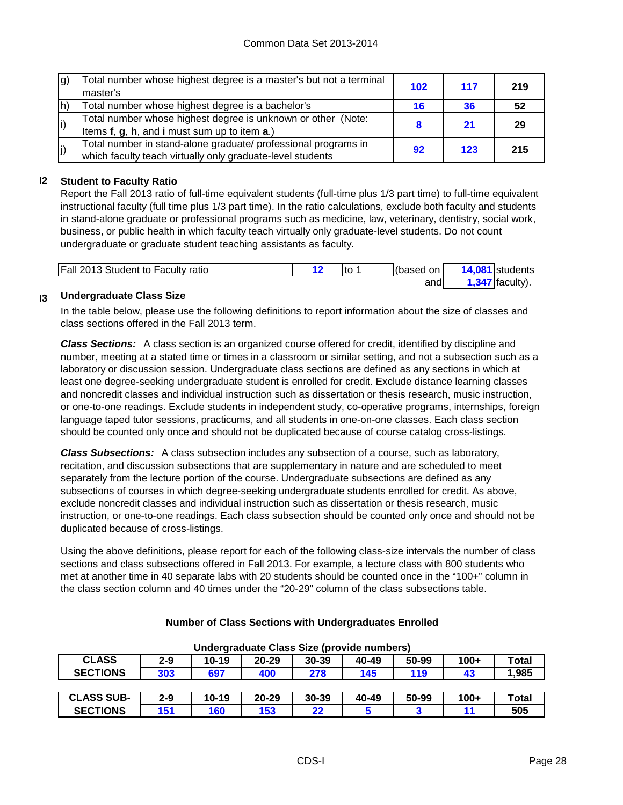| g) | Total number whose highest degree is a master's but not a terminal<br>master's | 102 | 117 | 219 |
|----|--------------------------------------------------------------------------------|-----|-----|-----|
| h) | Total number whose highest degree is a bachelor's                              | 16  | 36  | 52  |
| i) | Total number whose highest degree is unknown or other (Note:                   |     | 21  | 29  |
|    | Items f, g, h, and i must sum up to item a.)                                   |     |     |     |
| j) | Total number in stand-alone graduate/ professional programs in                 | 92  | 123 | 215 |
|    | which faculty teach virtually only graduate-level students                     |     |     |     |

## **I2 Student to Faculty Ratio**

Report the Fall 2013 ratio of full-time equivalent students (full-time plus 1/3 part time) to full-time equivalent instructional faculty (full time plus 1/3 part time). In the ratio calculations, exclude both faculty and students in stand-alone graduate or professional programs such as medicine, law, veterinary, dentistry, social work, business, or public health in which faculty teach virtually only graduate-level students. Do not count undergraduate or graduate student teaching assistants as faculty.

| Fall 2013 Student to Faculty ratio | Ito | (based on I | 14,081 students   |
|------------------------------------|-----|-------------|-------------------|
|                                    |     | andl        | $1,347$ faculty). |

#### **I3 Undergraduate Class Size**

In the table below, please use the following definitions to report information about the size of classes and class sections offered in the Fall 2013 term.

*Class Sections:* A class section is an organized course offered for credit, identified by discipline and number, meeting at a stated time or times in a classroom or similar setting, and not a subsection such as a laboratory or discussion session. Undergraduate class sections are defined as any sections in which at least one degree-seeking undergraduate student is enrolled for credit. Exclude distance learning classes and noncredit classes and individual instruction such as dissertation or thesis research, music instruction, or one-to-one readings. Exclude students in independent study, co-operative programs, internships, foreign language taped tutor sessions, practicums, and all students in one-on-one classes. Each class section should be counted only once and should not be duplicated because of course catalog cross-listings.

*Class Subsections:* A class subsection includes any subsection of a course, such as laboratory, recitation, and discussion subsections that are supplementary in nature and are scheduled to meet separately from the lecture portion of the course. Undergraduate subsections are defined as any subsections of courses in which degree-seeking undergraduate students enrolled for credit. As above, exclude noncredit classes and individual instruction such as dissertation or thesis research, music instruction, or one-to-one readings. Each class subsection should be counted only once and should not be duplicated because of cross-listings.

Using the above definitions, please report for each of the following class-size intervals the number of class sections and class subsections offered in Fall 2013. For example, a lecture class with 800 students who met at another time in 40 separate labs with 20 students should be counted once in the "100+" column in the class section column and 40 times under the "20-29" column of the class subsections table.

| Undergraduate Class Size (provide numbers) |         |           |           |       |       |       |        |              |
|--------------------------------------------|---------|-----------|-----------|-------|-------|-------|--------|--------------|
| <b>CLASS</b>                               | $2 - 9$ | $10 - 19$ | $20 - 29$ | 30-39 | 40-49 | 50-99 | $100+$ | Total        |
| <b>SECTIONS</b>                            | 303     | 697       | 400       | 278   | 145   | 119   | 43     | 1,985        |
|                                            |         |           |           |       |       |       |        |              |
| <b>CLASS SUB-</b>                          | $2 - 9$ | $10 - 19$ | $20 - 29$ | 30-39 | 40-49 | 50-99 | $100+$ | <b>Total</b> |
| <b>SECTIONS</b>                            | 151     | 160       | 153       | 22    |       |       |        | 505          |

#### **Number of Class Sections with Undergraduates Enrolled**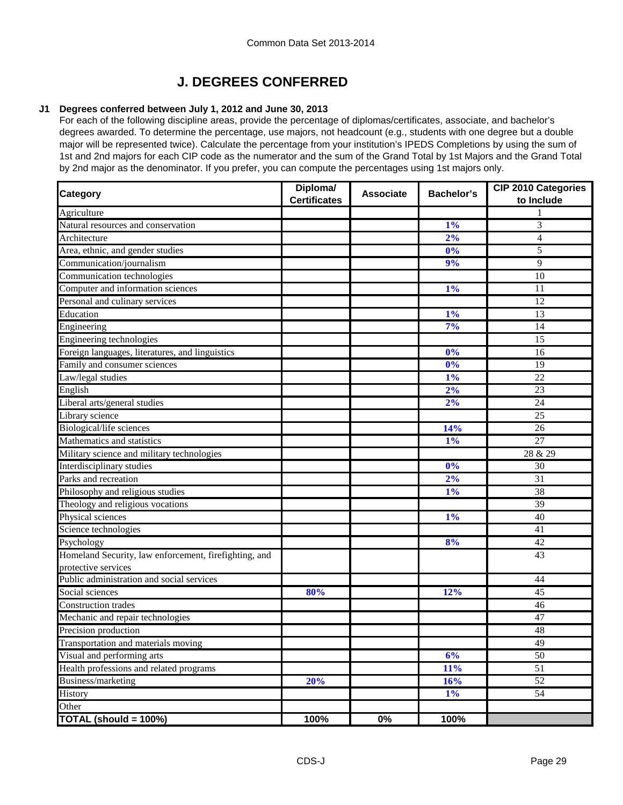## **J. DEGREES CONFERRED**

#### **J1 Degrees conferred between July 1, 2012 and June 30, 2013**

For each of the following discipline areas, provide the percentage of diplomas/certificates, associate, and bachelor's degrees awarded. To determine the percentage, use majors, not headcount (e.g., students with one degree but a double major will be represented twice). Calculate the percentage from your institution's IPEDS Completions by using the sum of 1st and 2nd majors for each CIP code as the numerator and the sum of the Grand Total by 1st Majors and the Grand Total by 2nd major as the denominator. If you prefer, you can compute the percentages using 1st majors only.

| <b>Category</b>                                       | Diploma/<br><b>Certificates</b> | <b>Associate</b> | <b>Bachelor's</b> | <b>CIP 2010 Categories</b><br>to Include |
|-------------------------------------------------------|---------------------------------|------------------|-------------------|------------------------------------------|
| Agriculture                                           |                                 |                  |                   |                                          |
| Natural resources and conservation                    |                                 |                  | 1%                | 3                                        |
| Architecture                                          |                                 |                  | 2%                | $\overline{4}$                           |
| Area, ethnic, and gender studies                      |                                 |                  | 0%                | 5                                        |
| Communication/journalism                              |                                 |                  | 9%                | 9                                        |
| Communication technologies                            |                                 |                  |                   | 10                                       |
| Computer and information sciences                     |                                 |                  | $1\%$             | 11                                       |
| Personal and culinary services                        |                                 |                  |                   | 12                                       |
| Education                                             |                                 |                  | 1%                | 13                                       |
| Engineering                                           |                                 |                  | 7%                | 14                                       |
| Engineering technologies                              |                                 |                  |                   | 15                                       |
| Foreign languages, literatures, and linguistics       |                                 |                  | 0%                | 16                                       |
| Family and consumer sciences                          |                                 |                  | 0%                | 19                                       |
| Law/legal studies                                     |                                 |                  | 1%                | 22                                       |
| English                                               |                                 |                  | 2%                | 23                                       |
| Liberal arts/general studies                          |                                 |                  | 2%                | 24                                       |
| Library science                                       |                                 |                  |                   | 25                                       |
| Biological/life sciences                              |                                 |                  | 14%               | 26                                       |
| Mathematics and statistics                            |                                 |                  | $1\%$             | 27                                       |
| Military science and military technologies            |                                 |                  |                   | 28 & 29                                  |
| Interdisciplinary studies                             |                                 |                  | 0%                | 30                                       |
| Parks and recreation                                  |                                 |                  | 2%                | 31                                       |
| Philosophy and religious studies                      |                                 |                  | 1%                | 38                                       |
| Theology and religious vocations                      |                                 |                  |                   | $\overline{39}$                          |
| Physical sciences                                     |                                 |                  | 1%                | 40                                       |
| Science technologies                                  |                                 |                  |                   | 41                                       |
| Psychology                                            |                                 |                  | 8%                | 42                                       |
| Homeland Security, law enforcement, firefighting, and |                                 |                  |                   | 43                                       |
| protective services                                   |                                 |                  |                   |                                          |
| Public administration and social services             |                                 |                  |                   | 44                                       |
| Social sciences                                       | 80%                             |                  | 12%               | 45                                       |
| <b>Construction</b> trades                            |                                 |                  |                   | 46                                       |
| Mechanic and repair technologies                      |                                 |                  |                   | 47                                       |
| Precision production                                  |                                 |                  |                   | 48                                       |
| Transportation and materials moving                   |                                 |                  |                   | 49                                       |
| Visual and performing arts                            |                                 |                  | 6%                | 50                                       |
| Health professions and related programs               |                                 |                  | 11%               | 51                                       |
| Business/marketing                                    | 20%                             |                  | 16%               | 52                                       |
| History                                               |                                 |                  | $1\%$             | $\overline{54}$                          |
| Other                                                 |                                 |                  |                   |                                          |
| TOTAL (should = 100%)                                 | 100%                            | $0\%$            | 100%              |                                          |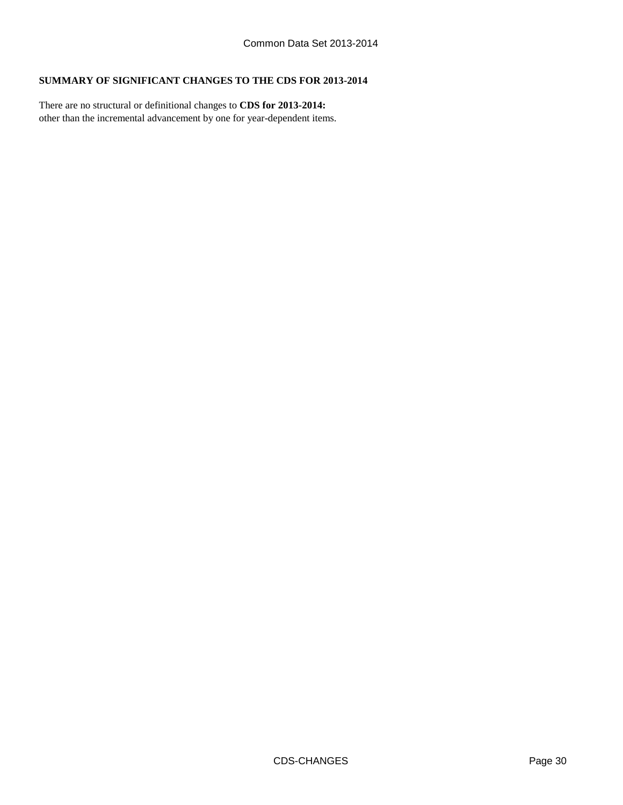#### **SUMMARY OF SIGNIFICANT CHANGES TO THE CDS FOR 2013-2014**

other than the incremental advancement by one for year-dependent items. There are no structural or definitional changes to **CDS for 2013-2014:**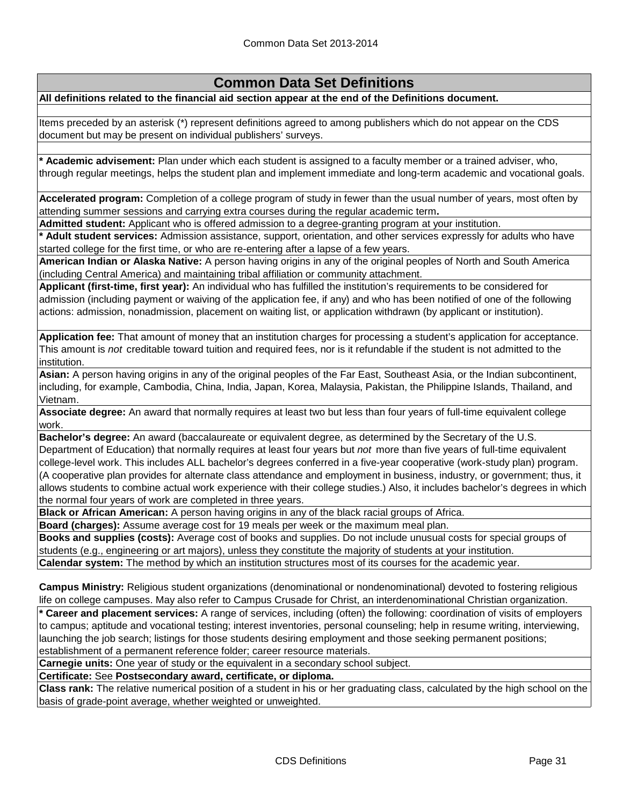## **Common Data Set Definitions**

**All definitions related to the financial aid section appear at the end of the Definitions document.**

Items preceded by an asterisk (\*) represent definitions agreed to among publishers which do not appear on the CDS document but may be present on individual publishers' surveys.

**\* Academic advisement:** Plan under which each student is assigned to a faculty member or a trained adviser, who, through regular meetings, helps the student plan and implement immediate and long-term academic and vocational goals.

**Accelerated program:** Completion of a college program of study in fewer than the usual number of years, most often by attending summer sessions and carrying extra courses during the regular academic term**.**

**Admitted student:** Applicant who is offered admission to a degree-granting program at your institution.

**\* Adult student services:** Admission assistance, support, orientation, and other services expressly for adults who have started college for the first time, or who are re-entering after a lapse of a few years.

**American Indian or Alaska Native:** A person having origins in any of the original peoples of North and South America (including Central America) and maintaining tribal affiliation or community attachment.

**Applicant (first-time, first year):** An individual who has fulfilled the institution's requirements to be considered for admission (including payment or waiving of the application fee, if any) and who has been notified of one of the following actions: admission, nonadmission, placement on waiting list, or application withdrawn (by applicant or institution).

**Application fee:** That amount of money that an institution charges for processing a student's application for acceptance. This amount is *not* creditable toward tuition and required fees, nor is it refundable if the student is not admitted to the institution.

**Asian:** A person having origins in any of the original peoples of the Far East, Southeast Asia, or the Indian subcontinent, including, for example, Cambodia, China, India, Japan, Korea, Malaysia, Pakistan, the Philippine Islands, Thailand, and Vietnam.

**Associate degree:** An award that normally requires at least two but less than four years of full-time equivalent college work.

**Bachelor's degree:** An award (baccalaureate or equivalent degree, as determined by the Secretary of the U.S. Department of Education) that normally requires at least four years but *not* more than five years of full-time equivalent college-level work. This includes ALL bachelor's degrees conferred in a five-year cooperative (work-study plan) program. (A cooperative plan provides for alternate class attendance and employment in business, industry, or government; thus, it allows students to combine actual work experience with their college studies.) Also, it includes bachelor's degrees in which the normal four years of work are completed in three years.

**Black or African American:** A person having origins in any of the black racial groups of Africa.

**Board (charges):** Assume average cost for 19 meals per week or the maximum meal plan.

**Books and supplies (costs):** Average cost of books and supplies. Do not include unusual costs for special groups of students (e.g., engineering or art majors), unless they constitute the majority of students at your institution. **Calendar system:** The method by which an institution structures most of its courses for the academic year.

**Campus Ministry:** Religious student organizations (denominational or nondenominational) devoted to fostering religious life on college campuses. May also refer to Campus Crusade for Christ, an interdenominational Christian organization.

**\* Career and placement services:** A range of services, including (often) the following: coordination of visits of employers to campus; aptitude and vocational testing; interest inventories, personal counseling; help in resume writing, interviewing, launching the job search; listings for those students desiring employment and those seeking permanent positions; establishment of a permanent reference folder; career resource materials.

**Carnegie units:** One year of study or the equivalent in a secondary school subject.

**Certificate:** See **Postsecondary award, certificate, or diploma.**

**Class rank:** The relative numerical position of a student in his or her graduating class, calculated by the high school on the basis of grade-point average, whether weighted or unweighted.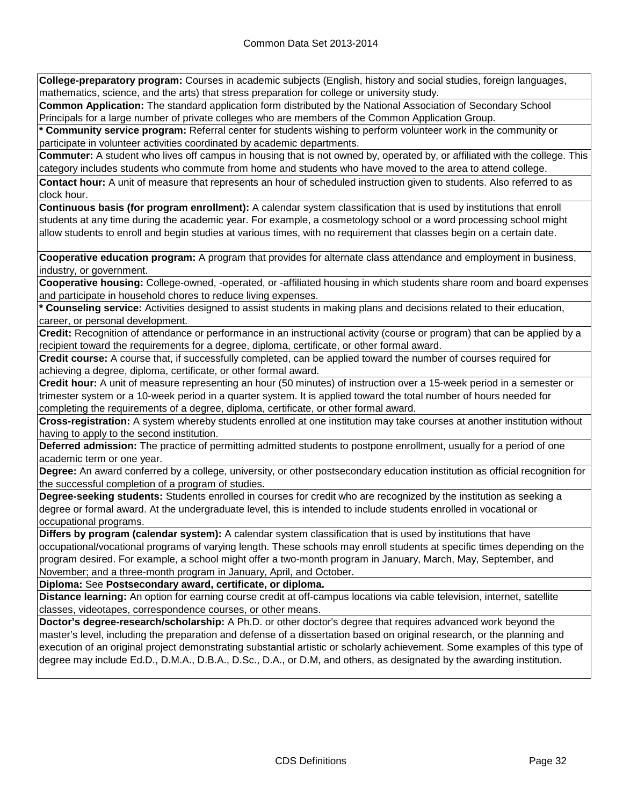**College-preparatory program:** Courses in academic subjects (English, history and social studies, foreign languages, mathematics, science, and the arts) that stress preparation for college or university study.

**Common Application:** The standard application form distributed by the National Association of Secondary School Principals for a large number of private colleges who are members of the Common Application Group.

**\* Community service program:** Referral center for students wishing to perform volunteer work in the community or participate in volunteer activities coordinated by academic departments.

**Commuter:** A student who lives off campus in housing that is not owned by, operated by, or affiliated with the college. This category includes students who commute from home and students who have moved to the area to attend college.

**Contact hour:** A unit of measure that represents an hour of scheduled instruction given to students. Also referred to as clock hour.

**Continuous basis (for program enrollment):** A calendar system classification that is used by institutions that enroll students at any time during the academic year. For example, a cosmetology school or a word processing school might allow students to enroll and begin studies at various times, with no requirement that classes begin on a certain date.

**Cooperative education program:** A program that provides for alternate class attendance and employment in business, industry, or government.

**Cooperative housing:** College-owned, -operated, or -affiliated housing in which students share room and board expenses and participate in household chores to reduce living expenses.

**\* Counseling service:** Activities designed to assist students in making plans and decisions related to their education, career, or personal development.

**Credit:** Recognition of attendance or performance in an instructional activity (course or program) that can be applied by a recipient toward the requirements for a degree, diploma, certificate, or other formal award.

**Credit course:** A course that, if successfully completed, can be applied toward the number of courses required for achieving a degree, diploma, certificate, or other formal award.

**Credit hour:** A unit of measure representing an hour (50 minutes) of instruction over a 15-week period in a semester or trimester system or a 10-week period in a quarter system. It is applied toward the total number of hours needed for completing the requirements of a degree, diploma, certificate, or other formal award.

**Cross-registration:** A system whereby students enrolled at one institution may take courses at another institution without having to apply to the second institution.

**Deferred admission:** The practice of permitting admitted students to postpone enrollment, usually for a period of one academic term or one year.

**Degree:** An award conferred by a college, university, or other postsecondary education institution as official recognition for the successful completion of a program of studies.

**Degree-seeking students:** Students enrolled in courses for credit who are recognized by the institution as seeking a degree or formal award. At the undergraduate level, this is intended to include students enrolled in vocational or occupational programs.

**Differs by program (calendar system):** A calendar system classification that is used by institutions that have occupational/vocational programs of varying length. These schools may enroll students at specific times depending on the program desired. For example, a school might offer a two-month program in January, March, May, September, and November; and a three-month program in January, April, and October.

**Diploma:** See **Postsecondary award, certificate, or diploma.**

**Distance learning:** An option for earning course credit at off-campus locations via cable television, internet, satellite classes, videotapes, correspondence courses, or other means.

**Doctor's degree-research/scholarship:** A Ph.D. or other doctor's degree that requires advanced work beyond the master's level, including the preparation and defense of a dissertation based on original research, or the planning and execution of an original project demonstrating substantial artistic or scholarly achievement. Some examples of this type of degree may include Ed.D., D.M.A., D.B.A., D.Sc., D.A., or D.M, and others, as designated by the awarding institution.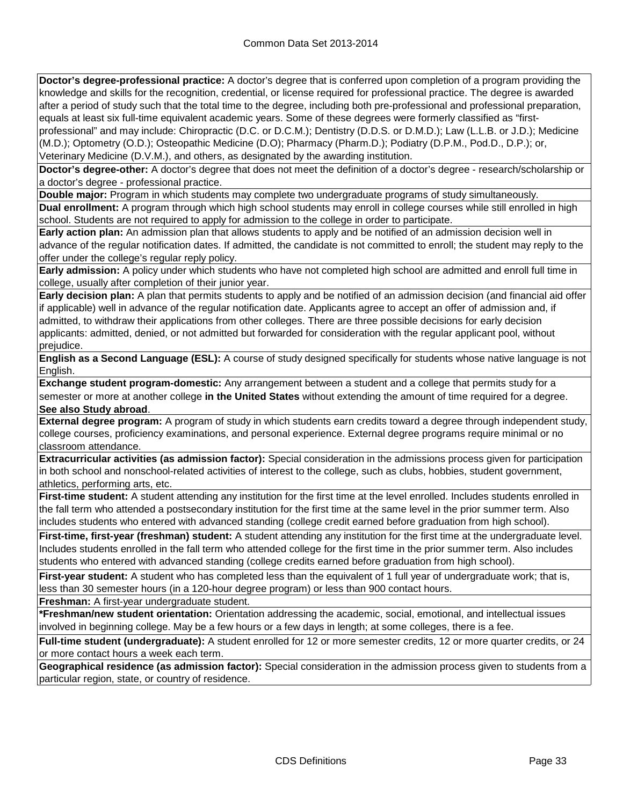**Doctor's degree-professional practice:** A doctor's degree that is conferred upon completion of a program providing the knowledge and skills for the recognition, credential, or license required for professional practice. The degree is awarded after a period of study such that the total time to the degree, including both pre-professional and professional preparation, equals at least six full-time equivalent academic years. Some of these degrees were formerly classified as "firstprofessional" and may include: Chiropractic (D.C. or D.C.M.); Dentistry (D.D.S. or D.M.D.); Law (L.L.B. or J.D.); Medicine (M.D.); Optometry (O.D.); Osteopathic Medicine (D.O); Pharmacy (Pharm.D.); Podiatry (D.P.M., Pod.D., D.P.); or, Veterinary Medicine (D.V.M.), and others, as designated by the awarding institution.

**Doctor's degree-other:** A doctor's degree that does not meet the definition of a doctor's degree - research/scholarship or a doctor's degree - professional practice.

**Double major:** Program in which students may complete two undergraduate programs of study simultaneously. **Dual enrollment:** A program through which high school students may enroll in college courses while still enrolled in high school. Students are not required to apply for admission to the college in order to participate.

**Early action plan:** An admission plan that allows students to apply and be notified of an admission decision well in advance of the regular notification dates. If admitted, the candidate is not committed to enroll; the student may reply to the offer under the college's regular reply policy.

**Early admission:** A policy under which students who have not completed high school are admitted and enroll full time in college, usually after completion of their junior year.

**Early decision plan:** A plan that permits students to apply and be notified of an admission decision (and financial aid offer if applicable) well in advance of the regular notification date. Applicants agree to accept an offer of admission and, if admitted, to withdraw their applications from other colleges. There are three possible decisions for early decision applicants: admitted, denied, or not admitted but forwarded for consideration with the regular applicant pool, without prejudice.

**English as a Second Language (ESL):** A course of study designed specifically for students whose native language is not English.

**Exchange student program-domestic:** Any arrangement between a student and a college that permits study for a semester or more at another college **in the United States** without extending the amount of time required for a degree. **See also Study abroad**.

**External degree program:** A program of study in which students earn credits toward a degree through independent study, college courses, proficiency examinations, and personal experience. External degree programs require minimal or no classroom attendance.

**Extracurricular activities (as admission factor):** Special consideration in the admissions process given for participation in both school and nonschool-related activities of interest to the college, such as clubs, hobbies, student government, athletics, performing arts, etc.

**First-time student:** A student attending any institution for the first time at the level enrolled. Includes students enrolled in the fall term who attended a postsecondary institution for the first time at the same level in the prior summer term. Also includes students who entered with advanced standing (college credit earned before graduation from high school).

**First-time, first-year (freshman) student:** A student attending any institution for the first time at the undergraduate level. Includes students enrolled in the fall term who attended college for the first time in the prior summer term. Also includes students who entered with advanced standing (college credits earned before graduation from high school).

**First-year student:** A student who has completed less than the equivalent of 1 full year of undergraduate work; that is, less than 30 semester hours (in a 120-hour degree program) or less than 900 contact hours.

**Freshman:** A first-year undergraduate student.

**\*Freshman/new student orientation:** Orientation addressing the academic, social, emotional, and intellectual issues involved in beginning college. May be a few hours or a few days in length; at some colleges, there is a fee.

**Full-time student (undergraduate):** A student enrolled for 12 or more semester credits, 12 or more quarter credits, or 24 or more contact hours a week each term.

**Geographical residence (as admission factor):** Special consideration in the admission process given to students from a particular region, state, or country of residence.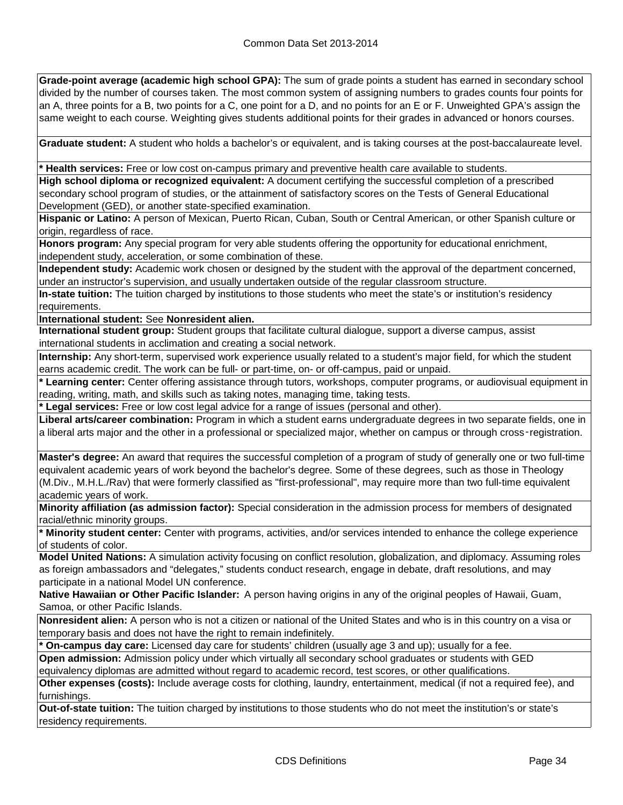**Grade-point average (academic high school GPA):** The sum of grade points a student has earned in secondary school divided by the number of courses taken. The most common system of assigning numbers to grades counts four points for an A, three points for a B, two points for a C, one point for a D, and no points for an E or F. Unweighted GPA's assign the same weight to each course. Weighting gives students additional points for their grades in advanced or honors courses.

**Graduate student:** A student who holds a bachelor's or equivalent, and is taking courses at the post-baccalaureate level.

**\* Health services:** Free or low cost on-campus primary and preventive health care available to students.

**High school diploma or recognized equivalent:** A document certifying the successful completion of a prescribed secondary school program of studies, or the attainment of satisfactory scores on the Tests of General Educational Development (GED), or another state-specified examination.

**Hispanic or Latino:** A person of Mexican, Puerto Rican, Cuban, South or Central American, or other Spanish culture or origin, regardless of race.

**Honors program:** Any special program for very able students offering the opportunity for educational enrichment, independent study, acceleration, or some combination of these.

**Independent study:** Academic work chosen or designed by the student with the approval of the department concerned, under an instructor's supervision, and usually undertaken outside of the regular classroom structure.

**In-state tuition:** The tuition charged by institutions to those students who meet the state's or institution's residency requirements.

**International student:** See **Nonresident alien.**

**International student group:** Student groups that facilitate cultural dialogue, support a diverse campus, assist international students in acclimation and creating a social network.

**Internship:** Any short-term, supervised work experience usually related to a student's major field, for which the student earns academic credit. The work can be full- or part-time, on- or off-campus, paid or unpaid.

**\* Learning center:** Center offering assistance through tutors, workshops, computer programs, or audiovisual equipment in reading, writing, math, and skills such as taking notes, managing time, taking tests.

**\* Legal services:** Free or low cost legal advice for a range of issues (personal and other).

**Liberal arts/career combination:** Program in which a student earns undergraduate degrees in two separate fields, one in a liberal arts major and the other in a professional or specialized major, whether on campus or through cross‑registration.

**Master's degree:** An award that requires the successful completion of a program of study of generally one or two full-time equivalent academic years of work beyond the bachelor's degree. Some of these degrees, such as those in Theology (M.Div., M.H.L./Rav) that were formerly classified as "first-professional", may require more than two full-time equivalent academic years of work.

**Minority affiliation (as admission factor):** Special consideration in the admission process for members of designated racial/ethnic minority groups.

**\* Minority student center:** Center with programs, activities, and/or services intended to enhance the college experience of students of color.

**Model United Nations:** A simulation activity focusing on conflict resolution, globalization, and diplomacy. Assuming roles as foreign ambassadors and "delegates," students conduct research, engage in debate, draft resolutions, and may participate in a national Model UN conference.

**Native Hawaiian or Other Pacific Islander:** A person having origins in any of the original peoples of Hawaii, Guam, Samoa, or other Pacific Islands.

**Nonresident alien:** A person who is not a citizen or national of the United States and who is in this country on a visa or temporary basis and does not have the right to remain indefinitely.

**\* On-campus day care:** Licensed day care for students' children (usually age 3 and up); usually for a fee.

**Open admission:** Admission policy under which virtually all secondary school graduates or students with GED equivalency diplomas are admitted without regard to academic record, test scores, or other qualifications.

**Other expenses (costs):** Include average costs for clothing, laundry, entertainment, medical (if not a required fee), and furnishings.

**Out-of-state tuition:** The tuition charged by institutions to those students who do not meet the institution's or state's residency requirements.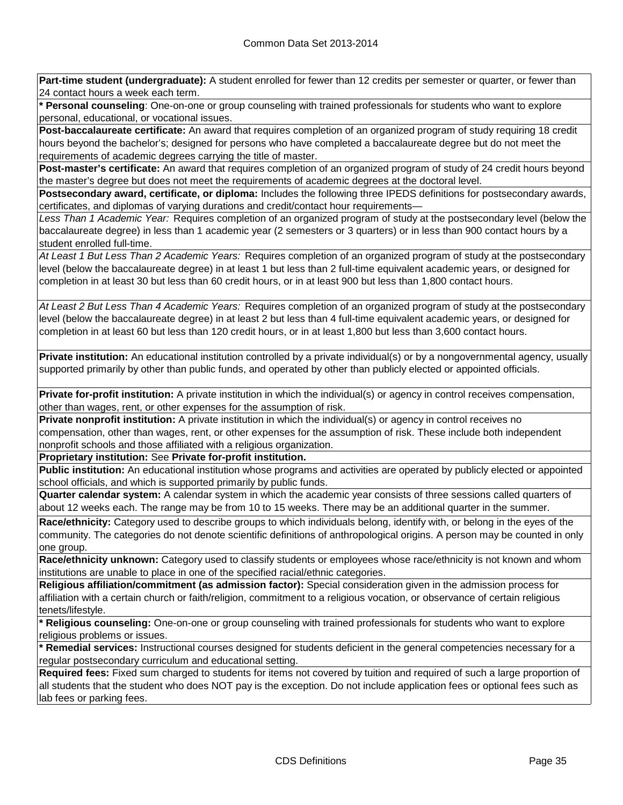**Part-time student (undergraduate):** A student enrolled for fewer than 12 credits per semester or quarter, or fewer than 24 contact hours a week each term.

**\* Personal counseling**: One-on-one or group counseling with trained professionals for students who want to explore personal, educational, or vocational issues.

**Post-baccalaureate certificate:** An award that requires completion of an organized program of study requiring 18 credit hours beyond the bachelor's; designed for persons who have completed a baccalaureate degree but do not meet the requirements of academic degrees carrying the title of master.

**Post-master's certificate:** An award that requires completion of an organized program of study of 24 credit hours beyond the master's degree but does not meet the requirements of academic degrees at the doctoral level.

**Postsecondary award, certificate, or diploma:** Includes the following three IPEDS definitions for postsecondary awards, certificates, and diplomas of varying durations and credit/contact hour requirements—

*Less Than 1 Academic Year:* Requires completion of an organized program of study at the postsecondary level (below the baccalaureate degree) in less than 1 academic year (2 semesters or 3 quarters) or in less than 900 contact hours by a student enrolled full-time.

*At Least 1 But Less Than 2 Academic Years:* Requires completion of an organized program of study at the postsecondary level (below the baccalaureate degree) in at least 1 but less than 2 full-time equivalent academic years, or designed for completion in at least 30 but less than 60 credit hours, or in at least 900 but less than 1,800 contact hours.

*At Least 2 But Less Than 4 Academic Years:* Requires completion of an organized program of study at the postsecondary level (below the baccalaureate degree) in at least 2 but less than 4 full-time equivalent academic years, or designed for completion in at least 60 but less than 120 credit hours, or in at least 1,800 but less than 3,600 contact hours.

**Private institution:** An educational institution controlled by a private individual(s) or by a nongovernmental agency, usually supported primarily by other than public funds, and operated by other than publicly elected or appointed officials.

**Private for-profit institution:** A private institution in which the individual(s) or agency in control receives compensation, other than wages, rent, or other expenses for the assumption of risk.

**Private nonprofit institution:** A private institution in which the individual(s) or agency in control receives no compensation, other than wages, rent, or other expenses for the assumption of risk. These include both independent nonprofit schools and those affiliated with a religious organization.

**Proprietary institution:** See **Private for-profit institution.**

**Public institution:** An educational institution whose programs and activities are operated by publicly elected or appointed school officials, and which is supported primarily by public funds.

**Quarter calendar system:** A calendar system in which the academic year consists of three sessions called quarters of about 12 weeks each. The range may be from 10 to 15 weeks. There may be an additional quarter in the summer.

**Race/ethnicity:** Category used to describe groups to which individuals belong, identify with, or belong in the eyes of the community. The categories do not denote scientific definitions of anthropological origins. A person may be counted in only one group.

**Race/ethnicity unknown:** Category used to classify students or employees whose race/ethnicity is not known and whom institutions are unable to place in one of the specified racial/ethnic categories.

**Religious affiliation/commitment (as admission factor):** Special consideration given in the admission process for affiliation with a certain church or faith/religion, commitment to a religious vocation, or observance of certain religious tenets/lifestyle.

**\* Religious counseling:** One-on-one or group counseling with trained professionals for students who want to explore religious problems or issues.

**\* Remedial services:** Instructional courses designed for students deficient in the general competencies necessary for a regular postsecondary curriculum and educational setting.

**Required fees:** Fixed sum charged to students for items not covered by tuition and required of such a large proportion of all students that the student who does NOT pay is the exception. Do not include application fees or optional fees such as lab fees or parking fees.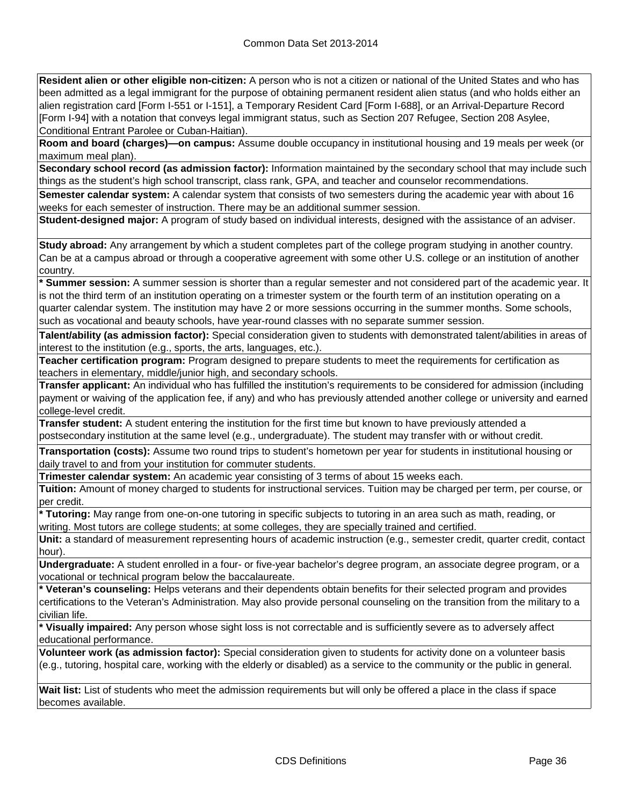**Resident alien or other eligible non-citizen:** A person who is not a citizen or national of the United States and who has been admitted as a legal immigrant for the purpose of obtaining permanent resident alien status (and who holds either an alien registration card [Form I-551 or I-151], a Temporary Resident Card [Form I-688], or an Arrival-Departure Record [Form I-94] with a notation that conveys legal immigrant status, such as Section 207 Refugee, Section 208 Asylee, Conditional Entrant Parolee or Cuban-Haitian).

**Room and board (charges)—on campus:** Assume double occupancy in institutional housing and 19 meals per week (or maximum meal plan).

**Secondary school record (as admission factor):** Information maintained by the secondary school that may include such things as the student's high school transcript, class rank, GPA, and teacher and counselor recommendations.

**Semester calendar system:** A calendar system that consists of two semesters during the academic year with about 16 weeks for each semester of instruction. There may be an additional summer session.

**Student-designed major:** A program of study based on individual interests, designed with the assistance of an adviser.

**Study abroad:** Any arrangement by which a student completes part of the college program studying in another country. Can be at a campus abroad or through a cooperative agreement with some other U.S. college or an institution of another country.

**\* Summer session:** A summer session is shorter than a regular semester and not considered part of the academic year. It is not the third term of an institution operating on a trimester system or the fourth term of an institution operating on a quarter calendar system. The institution may have 2 or more sessions occurring in the summer months. Some schools, such as vocational and beauty schools, have year-round classes with no separate summer session.

**Talent/ability (as admission factor):** Special consideration given to students with demonstrated talent/abilities in areas of interest to the institution (e.g., sports, the arts, languages, etc.).

**Teacher certification program:** Program designed to prepare students to meet the requirements for certification as teachers in elementary, middle/junior high, and secondary schools.

**Transfer applicant:** An individual who has fulfilled the institution's requirements to be considered for admission (including payment or waiving of the application fee, if any) and who has previously attended another college or university and earned college-level credit.

**Transfer student:** A student entering the institution for the first time but known to have previously attended a postsecondary institution at the same level (e.g., undergraduate). The student may transfer with or without credit.

**Transportation (costs):** Assume two round trips to student's hometown per year for students in institutional housing or daily travel to and from your institution for commuter students.

**Trimester calendar system:** An academic year consisting of 3 terms of about 15 weeks each.

**Tuition:** Amount of money charged to students for instructional services. Tuition may be charged per term, per course, or per credit.

**\* Tutoring:** May range from one-on-one tutoring in specific subjects to tutoring in an area such as math, reading, or writing. Most tutors are college students; at some colleges, they are specially trained and certified.

**Unit:** a standard of measurement representing hours of academic instruction (e.g., semester credit, quarter credit, contact hour).

**Undergraduate:** A student enrolled in a four- or five-year bachelor's degree program, an associate degree program, or a vocational or technical program below the baccalaureate.

**\* Veteran's counseling:** Helps veterans and their dependents obtain benefits for their selected program and provides certifications to the Veteran's Administration. May also provide personal counseling on the transition from the military to a civilian life.

**\* Visually impaired:** Any person whose sight loss is not correctable and is sufficiently severe as to adversely affect educational performance.

**Volunteer work (as admission factor):** Special consideration given to students for activity done on a volunteer basis (e.g., tutoring, hospital care, working with the elderly or disabled) as a service to the community or the public in general.

**Wait list:** List of students who meet the admission requirements but will only be offered a place in the class if space becomes available.